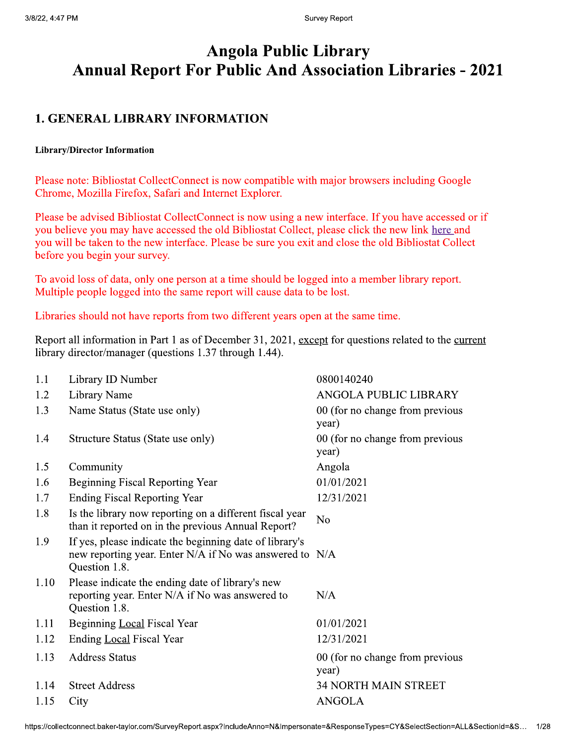# **Angola Public Library Annual Report For Public And Association Libraries - 2021**

# **1. GENERAL LIBRARY INFORMATION**

### **Library/Director Information**

Please note: Bibliostat CollectConnect is now compatible with major browsers including Google Chrome, Mozilla Firefox, Safari and Internet Explorer.

Please be advised Bibliostat CollectConnect is now using a new interface. If you have accessed or if you believe you may have accessed the old Bibliostat Collect, please click the new link here and you will be taken to the new interface. Please be sure you exit and close the old Bibliostat Collect before you begin your survey.

To avoid loss of data, only one person at a time should be logged into a member library report. Multiple people logged into the same report will cause data to be lost.

Libraries should not have reports from two different years open at the same time.

Report all information in Part 1 as of December 31, 2021, except for questions related to the current library director/manager (questions 1.37 through 1.44).

| 1.1  | Library ID Number                                                                                                                   | 0800140240                               |
|------|-------------------------------------------------------------------------------------------------------------------------------------|------------------------------------------|
| 1.2  | Library Name                                                                                                                        | ANGOLA PUBLIC LIBRARY                    |
| 1.3  | Name Status (State use only)                                                                                                        | 00 (for no change from previous<br>year) |
| 1.4  | Structure Status (State use only)                                                                                                   | 00 (for no change from previous<br>year) |
| 1.5  | Community                                                                                                                           | Angola                                   |
| 1.6  | <b>Beginning Fiscal Reporting Year</b>                                                                                              | 01/01/2021                               |
| 1.7  | <b>Ending Fiscal Reporting Year</b>                                                                                                 | 12/31/2021                               |
| 1.8  | Is the library now reporting on a different fiscal year<br>than it reported on in the previous Annual Report?                       | N <sub>o</sub>                           |
| 1.9  | If yes, please indicate the beginning date of library's<br>new reporting year. Enter N/A if No was answered to N/A<br>Question 1.8. |                                          |
| 1.10 | Please indicate the ending date of library's new<br>reporting year. Enter N/A if No was answered to<br>Question 1.8.                | N/A                                      |
| 1.11 | Beginning Local Fiscal Year                                                                                                         | 01/01/2021                               |
| 1.12 | Ending Local Fiscal Year                                                                                                            | 12/31/2021                               |
| 1.13 | <b>Address Status</b>                                                                                                               | 00 (for no change from previous<br>year) |
| 1.14 | <b>Street Address</b>                                                                                                               | <b>34 NORTH MAIN STREET</b>              |
| 1.15 | City                                                                                                                                | <b>ANGOLA</b>                            |
|      |                                                                                                                                     |                                          |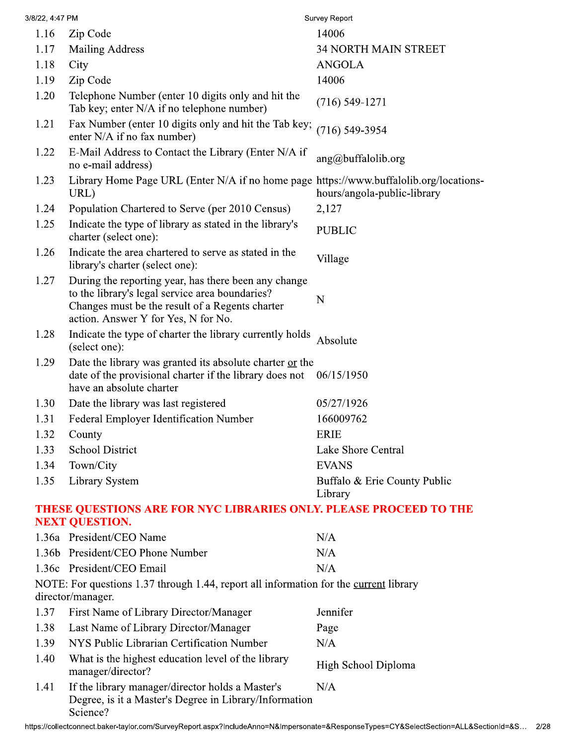| 3/8/22, 4:47 PM |                                                                                                                                                                                                   | Survey Report                           |
|-----------------|---------------------------------------------------------------------------------------------------------------------------------------------------------------------------------------------------|-----------------------------------------|
| 1.16            | Zip Code                                                                                                                                                                                          | 14006                                   |
| 1.17            | <b>Mailing Address</b>                                                                                                                                                                            | <b>34 NORTH MAIN STREET</b>             |
| 1.18            | City                                                                                                                                                                                              | <b>ANGOLA</b>                           |
| 1.19            | Zip Code                                                                                                                                                                                          | 14006                                   |
| 1.20            | Telephone Number (enter 10 digits only and hit the<br>Tab key; enter N/A if no telephone number)                                                                                                  | $(716)$ 549-1271                        |
| 1.21            | Fax Number (enter 10 digits only and hit the Tab key;<br>enter N/A if no fax number)                                                                                                              | $(716) 549 - 3954$                      |
| 1.22            | E-Mail Address to Contact the Library (Enter N/A if<br>no e-mail address)                                                                                                                         | $ang@$ buffalolib.org                   |
| 1.23            | Library Home Page URL (Enter N/A if no home page https://www.buffalolib.org/locations-<br>URL)                                                                                                    | hours/angola-public-library             |
| 1.24            | Population Chartered to Serve (per 2010 Census)                                                                                                                                                   | 2,127                                   |
| 1.25            | Indicate the type of library as stated in the library's<br>charter (select one):                                                                                                                  | <b>PUBLIC</b>                           |
| 1.26            | Indicate the area chartered to serve as stated in the<br>library's charter (select one):                                                                                                          | Village                                 |
| 1.27            | During the reporting year, has there been any change<br>to the library's legal service area boundaries?<br>Changes must be the result of a Regents charter<br>action. Answer Y for Yes, N for No. | N                                       |
| 1.28            | Indicate the type of charter the library currently holds<br>(select one):                                                                                                                         | Absolute                                |
| 1.29            | Date the library was granted its absolute charter or the<br>date of the provisional charter if the library does not<br>have an absolute charter                                                   | 06/15/1950                              |
| 1.30            | Date the library was last registered                                                                                                                                                              | 05/27/1926                              |
| 1.31            | Federal Employer Identification Number                                                                                                                                                            | 166009762                               |
| 1.32            | County                                                                                                                                                                                            | <b>ERIE</b>                             |
| 1.33            | <b>School District</b>                                                                                                                                                                            | Lake Shore Central                      |
| 1.34            | Town/City                                                                                                                                                                                         | <b>EVANS</b>                            |
| 1.35            | Library System                                                                                                                                                                                    | Buffalo & Erie County Public<br>Library |
|                 | THESE QUESTIONS ARE FOR NYC LIBRARIES ONLY. PLEASE PROCEED TO THE<br><b>NEXT QUESTION.</b>                                                                                                        |                                         |
|                 | 1.36a President/CEO Name                                                                                                                                                                          | N/A                                     |
|                 | 1.36b President/CEO Phone Number                                                                                                                                                                  | N/A                                     |
|                 | 1.36c President/CEO Email                                                                                                                                                                         | N/A                                     |
|                 | NOTE: For questions 1.37 through 1.44, report all information for the current library<br>director/manager.                                                                                        |                                         |
| 1.37            | First Name of Library Director/Manager                                                                                                                                                            | Jennifer                                |
| 1.38            | Last Name of Library Director/Manager                                                                                                                                                             | Page                                    |
| 1.39            | NYS Public Librarian Certification Number                                                                                                                                                         | N/A                                     |
| 1.40            | What is the highest education level of the library<br>manager/director?                                                                                                                           | High School Diploma                     |
| 1.41            | If the library manager/director holds a Master's<br>Degree, is it a Master's Degree in Library/Information<br>Science?                                                                            | N/A                                     |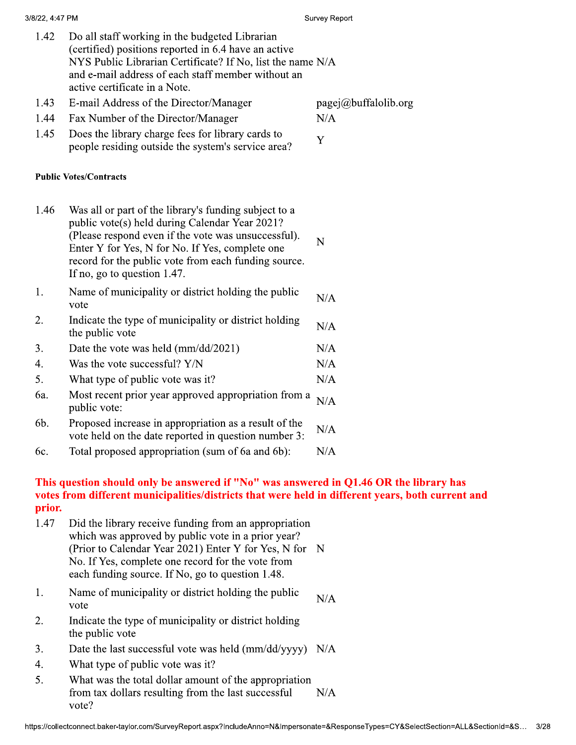- 1.42 NYS Public Librarian Certificate? If No, list the name is Do all staff working in the budgeted Librarian (certified) positions reported in  $6.4$  have an active and e-mail address of each staff member without an NYS Public Librarian Certificate? If No, list the name N/A<br>and e-mail address of each staff member without an<br>active certificate in a Note. 1.43 E-mail Address of the Director/Manager pagej@buffalolib.org
- 1.44 Fax Number of the Director/Manager N/A

1.45 Does the library charge fees for library cards to  $\frac{1}{2}$  people residing outside the system's service area?

### Public Votes/Contracts

- 1.46 Enter Y for Yes, N for No. If Yes, complete one Was all or part of the library's funding subject to a public vote(s) held during Calendar Year  $2021$ ? (Please respond even if the vote was unsuccessful). record for the public vote from each funding source. Enter Y for Yes, N for No. If Yes, complete one  $\frac{N}{2}$ <br>record for the public vote from each funding source.<br>If no, go to question 1.47.
- 1. N<br>V Name of municipality or district holding the public vote  $\bigcup_{N/A} N/A$
- 2. Indicate the type of municipality or district holding<br>the public vote the public vote  $N/A$
- 3. Date the vote was held  $\text{(mm/dd/2021)}$  N/A 4. Was the vote successful?  $Y/N$  N/A
- 5. What type of public vote was it?  $N/A$
- 6a. Most recent<br>public vote: Most recent prior year approved appropriation from a  $N/A$ public vote:  $N/A$
- 6b. Proposed increase in appropriation as a result of the vote held on the date reported in question number  $3$ :  $N/A$
- 6c. Total proposed appropriation (sum of 6a and 6b):  $N/A$

### This question should only be answered if "No" was answered in  $Q1.46$  OR the library has votes from different municipalities/districts that were held in different years, both current and prior.

- 1.47 (Prior to Calendar Year 2021) Enter Y for Yes, N for Did the library receive funding from an appropriation which was approved by public vote in a prior year? No. If Yes, complete one record for the vote from (Prior to Calendar Year 2021) Enter Y for Yes, N for  $N$ <br>No. If Yes, complete one record for the vote from<br>each funding source. If No, go to question 1.48.
- 1. N<br>V Name of municipality or district holding the public vote  $\bigcup_{N/A} N/A$
- 2. li<br>fl Indicate the type of municipality or district holding<br>the public vote  $\frac{1}{2}$  the public vote
- 3. Date the last successful vote was held  $\text{(mm/dd/yyyy)}$  N/A
- 4. What type of public vote was it?
- What type of public vote was it?<br>
5. What was the total dollar amount of the appropriation<br>
from tax dollars resulting from the last successful N/A<br>
vote?<br>
https://collectconnect.baker-taylor.com/SurveyReport.aspx?IncludeA  $5<sub>1</sub>$ from tax dollars resulting from the last successful N/A<br>vote? What was the total dollar amount of the appropriation<br>from tax dollars resulting from the last successful  $N/A$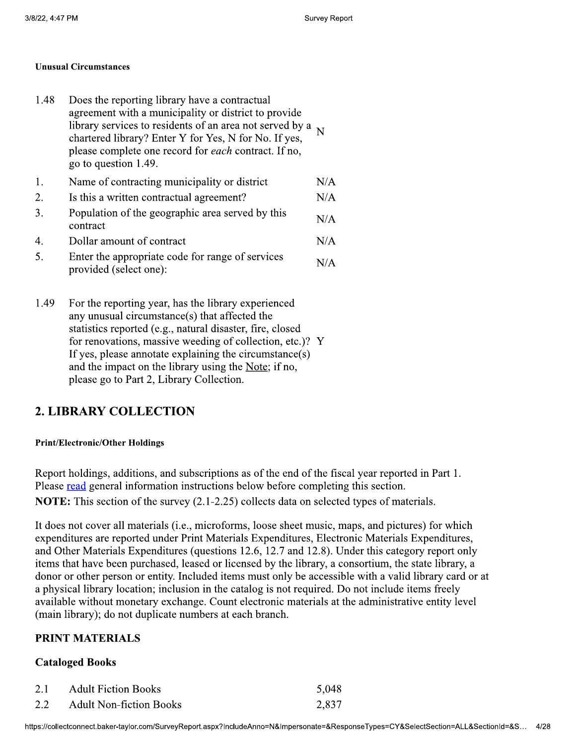#### **Unusual Circumstances**

| 1.48 | Does the reporting library have a contractual<br>agreement with a municipality or district to provide<br>library services to residents of an area not served by a $\overline{N}$<br>chartered library? Enter Y for Yes, N for No. If yes,<br>please complete one record for <i>each</i> contract. If no,<br>go to question 1.49. |     |
|------|----------------------------------------------------------------------------------------------------------------------------------------------------------------------------------------------------------------------------------------------------------------------------------------------------------------------------------|-----|
| 1.   | Name of contracting municipality or district                                                                                                                                                                                                                                                                                     | N/A |
| 2.   | Is this a written contractual agreement?                                                                                                                                                                                                                                                                                         | N/A |
| 3.   | Population of the geographic area served by this<br>contract                                                                                                                                                                                                                                                                     | N/A |
| 4.   | Dollar amount of contract                                                                                                                                                                                                                                                                                                        | N/A |
| 5.   | Enter the appropriate code for range of services<br>provided (select one):                                                                                                                                                                                                                                                       | N/A |

1.49 For the reporting year, has the library experienced any unusual circumstance(s) that affected the statistics reported (e.g., natural disaster, fire, closed for renovations, massive weeding of collection, etc.)? Y If yes, please annotate explaining the circumstance(s) and the impact on the library using the Note; if no, please go to Part 2, Library Collection.

# **2. LIBRARY COLLECTION**

### **Print/Electronic/Other Holdings**

Report holdings, additions, and subscriptions as of the end of the fiscal year reported in Part 1. Please read general information instructions below before completing this section. **NOTE:** This section of the survey (2.1-2.25) collects data on selected types of materials.

It does not cover all materials (i.e., microforms, loose sheet music, maps, and pictures) for which expenditures are reported under Print Materials Expenditures, Electronic Materials Expenditures, and Other Materials Expenditures (questions 12.6, 12.7 and 12.8). Under this category report only items that have been purchased, leased or licensed by the library, a consortium, the state library, a donor or other person or entity. Included items must only be accessible with a valid library card or at a physical library location; inclusion in the catalog is not required. Do not include items freely available without monetary exchange. Count electronic materials at the administrative entity level (main library); do not duplicate numbers at each branch.

### **PRINT MATERIALS**

### **Cataloged Books**

| 2.1 | <b>Adult Fiction Books</b>     | 5,048 |
|-----|--------------------------------|-------|
| 2.2 | <b>Adult Non-fiction Books</b> | 2,837 |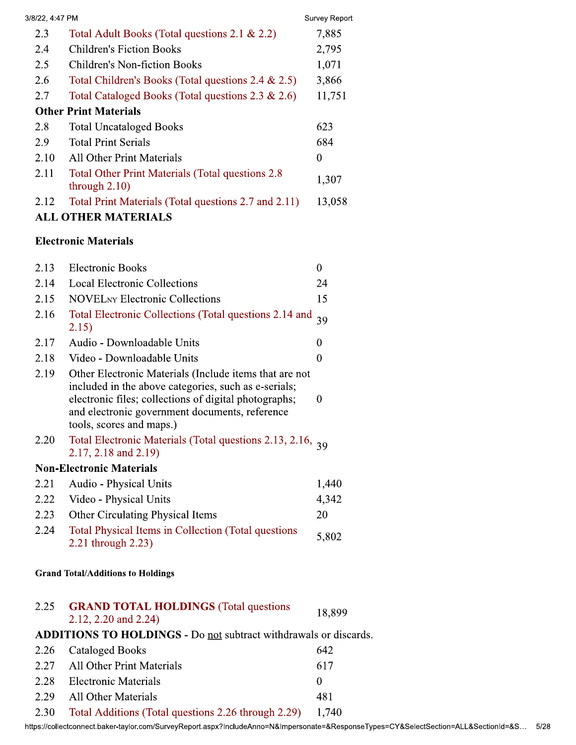| 3/8/22, 4:47 PM |                                                                              | Survey Report |  |
|-----------------|------------------------------------------------------------------------------|---------------|--|
| 2.3             | Total Adult Books (Total questions 2.1 & 2.2)                                | 7,885         |  |
| 2.4             | <b>Children's Fiction Books</b>                                              | 2,795         |  |
| 2.5             | <b>Children's Non-fiction Books</b>                                          | 1,071         |  |
| 2.6             | Total Children's Books (Total questions 2.4 & 2.5)                           | 3,866         |  |
| 2.7             | Total Cataloged Books (Total questions 2.3 $\&$ 2.6)                         | 11,751        |  |
|                 | <b>Other Print Materials</b>                                                 |               |  |
| 2.8             | <b>Total Uncataloged Books</b>                                               | 623           |  |
| 2.9             | <b>Total Print Serials</b>                                                   | 684           |  |
| 2.10            | All Other Print Materials                                                    | $\mathbf{0}$  |  |
| 2.11            | <b>Total Other Print Materials (Total questions 2.8)</b><br>through $2.10$ ) | 1,307         |  |
| 2.12            | Total Print Materials (Total questions 2.7 and 2.11)                         | 13,058        |  |
|                 | <b>ALL OTHER MATERIALS</b>                                                   |               |  |

## Electronic Materials

| 2.13 | <b>Electronic Books</b>                                                                                                                                                                                                                               | $\boldsymbol{0}$ |
|------|-------------------------------------------------------------------------------------------------------------------------------------------------------------------------------------------------------------------------------------------------------|------------------|
| 2.14 | <b>Local Electronic Collections</b>                                                                                                                                                                                                                   | 24               |
| 2.15 | <b>NOVEL</b> NY Electronic Collections                                                                                                                                                                                                                | 15               |
| 2.16 | Total Electronic Collections (Total questions 2.14 and<br>2.15)                                                                                                                                                                                       | 39               |
| 2.17 | Audio - Downloadable Units                                                                                                                                                                                                                            | $\boldsymbol{0}$ |
| 2.18 | Video - Downloadable Units                                                                                                                                                                                                                            | $\mathbf{0}$     |
| 2.19 | Other Electronic Materials (Include items that are not<br>included in the above categories, such as e-serials;<br>electronic files; collections of digital photographs;<br>and electronic government documents, reference<br>tools, scores and maps.) | $\theta$         |
| 2.20 | Total Electronic Materials (Total questions 2.13, 2.16, 39<br>2.17, 2.18 and 2.19)                                                                                                                                                                    |                  |
|      | <b>Non-Electronic Materials</b>                                                                                                                                                                                                                       |                  |
| 2.21 | Audio - Physical Units                                                                                                                                                                                                                                | 1,440            |
| 2.22 | Video - Physical Units                                                                                                                                                                                                                                | 4,342            |
| 2.23 | <b>Other Circulating Physical Items</b>                                                                                                                                                                                                               | 20               |
| 2.24 | Total Physical Items in Collection (Total questions<br>2.21 through 2.23)                                                                                                                                                                             | 5,802            |
|      | <b>Grand Total/Additions to Holdings</b>                                                                                                                                                                                                              |                  |
| - הר | CDAND TOTAL HOLDINGS (Tatal specticula                                                                                                                                                                                                                |                  |

| 2.25 | <b>GRAND TOTAL HOLDINGS</b> (Total questions<br>2.12, 2.20 and 2.24)                                                                  | 18,899         |
|------|---------------------------------------------------------------------------------------------------------------------------------------|----------------|
|      | ADDITIONS TO HOLDINGS - Do not subtract withdrawals or discards.                                                                      |                |
| 2.26 | Cataloged Books                                                                                                                       | 642            |
| 2.27 | All Other Print Materials                                                                                                             | 617            |
| 2.28 | <b>Electronic Materials</b>                                                                                                           | $\overline{0}$ |
| 2.29 | All Other Materials                                                                                                                   | 481            |
| 2.30 | Total Additions (Total questions 2.26 through 2.29)                                                                                   | 1,740          |
|      | https://collectconnect.baker-taylor.com/SurveyReport.aspx?IncludeAnno=N&Impersonate=&ResponseTypes=CY&SelectSection=ALL&SectionId=&S… | 5/28           |
|      |                                                                                                                                       |                |
|      |                                                                                                                                       |                |
|      |                                                                                                                                       |                |
|      |                                                                                                                                       |                |
|      |                                                                                                                                       |                |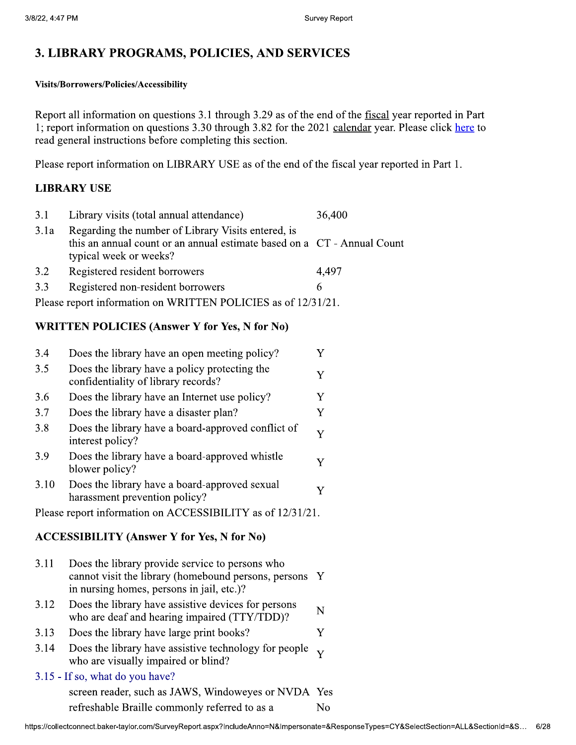# 3. LIBRARY PROGRAMS, POLICIES, AND SERVICES

#### **Visits/Borrowers/Policies/Accessibility**

Report all information on questions 3.1 through 3.29 as of the end of the fiscal year reported in Part 1; report information on questions 3.30 through 3.82 for the 2021 calendar year. Please click here to read general instructions before completing this section.

Please report information on LIBRARY USE as of the end of the fiscal year reported in Part 1.

## **LIBRARY USE**

| 3.1  | Library visits (total annual attendance)                                                                                                                | 36,400 |
|------|---------------------------------------------------------------------------------------------------------------------------------------------------------|--------|
| 3.1a | Regarding the number of Library Visits entered, is<br>this an annual count or an annual estimate based on a CT - Annual Count<br>typical week or weeks? |        |
| 3.2  | Registered resident borrowers                                                                                                                           | 4,497  |
| 3.3  | Registered non-resident borrowers                                                                                                                       | 6      |
|      | Please report information on WRITTEN POLICIES as of 12/31/21.                                                                                           |        |

## **WRITTEN POLICIES (Answer Y for Yes, N for No)**

| 3.4  | Does the library have an open meeting policy?                                                                                                        | Y              |
|------|------------------------------------------------------------------------------------------------------------------------------------------------------|----------------|
| 3.5  | Does the library have a policy protecting the<br>confidentiality of library records?                                                                 | Y              |
| 3.6  | Does the library have an Internet use policy?                                                                                                        | Y              |
| 3.7  | Does the library have a disaster plan?                                                                                                               | Y              |
| 3.8  | Does the library have a board-approved conflict of<br>interest policy?                                                                               | Y              |
| 3.9  | Does the library have a board-approved whistle<br>blower policy?                                                                                     | Y              |
| 3.10 | Does the library have a board-approved sexual<br>harassment prevention policy?                                                                       | Y              |
|      | Please report information on ACCESSIBILITY as of 12/31/21.                                                                                           |                |
|      |                                                                                                                                                      |                |
|      | <b>ACCESSIBILITY (Answer Y for Yes, N for No)</b>                                                                                                    |                |
| 3.11 | Does the library provide service to persons who<br>cannot visit the library (homebound persons, persons<br>in nursing homes, persons in jail, etc.)? | Y              |
| 3.12 | Does the library have assistive devices for persons<br>who are deaf and hearing impaired (TTY/TDD)?                                                  | N              |
| 3.13 | Does the library have large print books?                                                                                                             | Y              |
| 3.14 | Does the library have assistive technology for people<br>who are visually impaired or blind?                                                         | Y              |
|      | 3.15 - If so, what do you have?                                                                                                                      |                |
|      | screen reader, such as JAWS, Windoweyes or NVDA Yes                                                                                                  |                |
|      | refreshable Braille commonly referred to as a                                                                                                        | N <sub>0</sub> |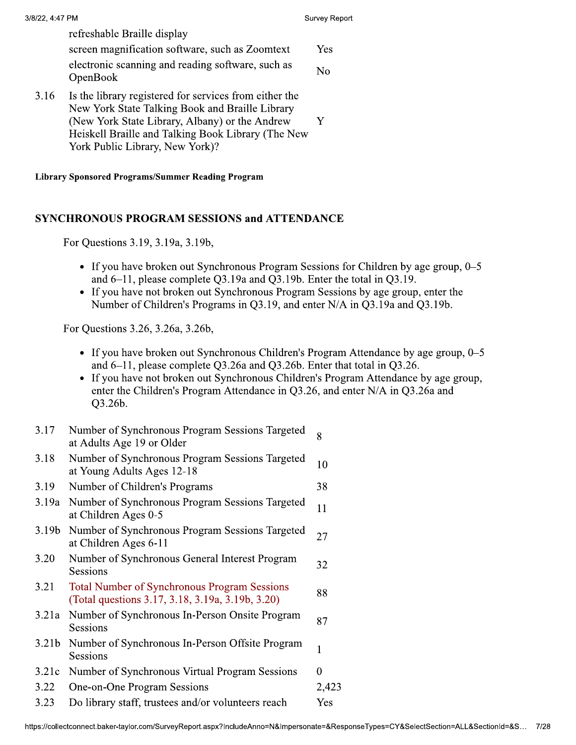| 3/8/22, 4:47 PM |                                                                                                                                                                                                                                                      | Survey Report |
|-----------------|------------------------------------------------------------------------------------------------------------------------------------------------------------------------------------------------------------------------------------------------------|---------------|
|                 | refreshable Braille display                                                                                                                                                                                                                          |               |
|                 | screen magnification software, such as Zoomtext                                                                                                                                                                                                      | Yes           |
|                 | electronic scanning and reading software, such as<br>OpenBook                                                                                                                                                                                        | No            |
| 3.16            | Is the library registered for services from either the<br>New York State Talking Book and Braille Library<br>(New York State Library, Albany) or the Andrew<br>Heiskell Braille and Talking Book Library (The New<br>York Public Library, New York)? |               |

**Library Sponsored Programs/Summer Reading Program** 

### **SYNCHRONOUS PROGRAM SESSIONS and ATTENDANCE**

For Questions 3.19, 3.19a, 3.19b,

- If you have broken out Synchronous Program Sessions for Children by age group,  $0-5$ and  $6-11$ , please complete Q3.19a and Q3.19b. Enter the total in Q3.19.
- If you have not broken out Synchronous Program Sessions by age group, enter the Number of Children's Programs in Q3.19, and enter N/A in Q3.19a and Q3.19b.

For Questions 3.26, 3.26a, 3.26b,

- If you have broken out Synchronous Children's Program Attendance by age group,  $0-5$ and 6-11, please complete Q3.26a and Q3.26b. Enter that total in Q3.26.
- If you have not broken out Synchronous Children's Program Attendance by age group, enter the Children's Program Attendance in Q3.26, and enter N/A in Q3.26a and Q3.26b.
- 3.17 Number of Synchronous Program Sessions Targeted 8 at Adults Age 19 or Older
- 3.18 Number of Synchronous Program Sessions Targeted 10 at Young Adults Ages 12-18
- 3.19 38 Number of Children's Programs
- 3.19a Number of Synchronous Program Sessions Targeted 11 at Children Ages 0-5
- 3.19b Number of Synchronous Program Sessions Targeted  $27$ at Children Ages 6-11
- 3.20 Number of Synchronous General Interest Program 32 **Sessions**
- 3.21 **Total Number of Synchronous Program Sessions** 88 (Total questions 3.17, 3.18, 3.19a, 3.19b, 3.20)
- 3.21a Number of Synchronous In-Person Onsite Program 87 Sessions
- 3.21b Number of Synchronous In-Person Offsite Program  $\mathbf{1}$ Sessions
- 3.21c Number of Synchronous Virtual Program Sessions  $\theta$
- One-on-One Program Sessions 3.22 2,423
- 3.23 Do library staff, trustees and/or volunteers reach Yes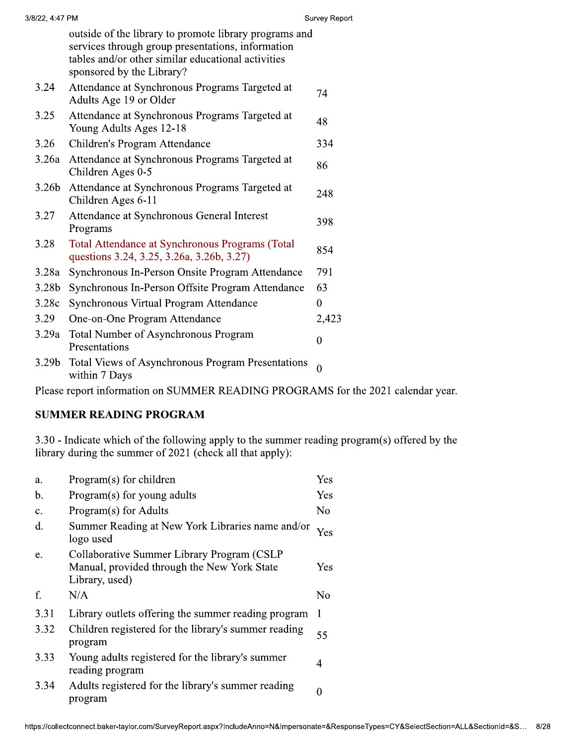| /22, 4:47 PM      |                                                                                                                                                                                                | Survey Report  |
|-------------------|------------------------------------------------------------------------------------------------------------------------------------------------------------------------------------------------|----------------|
|                   | outside of the library to promote library programs and<br>services through group presentations, information<br>tables and/or other similar educational activities<br>sponsored by the Library? |                |
| 3.24              | Attendance at Synchronous Programs Targeted at<br>Adults Age 19 or Older                                                                                                                       | 74             |
| 3.25              | Attendance at Synchronous Programs Targeted at<br>Young Adults Ages 12-18                                                                                                                      | 48             |
| 3.26              | Children's Program Attendance                                                                                                                                                                  | 334            |
| 3.26a             | Attendance at Synchronous Programs Targeted at<br>Children Ages 0-5                                                                                                                            | 86             |
| 3.26b             | Attendance at Synchronous Programs Targeted at<br>Children Ages 6-11                                                                                                                           | 248            |
| 3.27              | Attendance at Synchronous General Interest<br>Programs                                                                                                                                         | 398            |
| 3.28              | Total Attendance at Synchronous Programs (Total<br>questions 3.24, 3.25, 3.26a, 3.26b, 3.27)                                                                                                   | 854            |
| 3.28a             | Synchronous In-Person Onsite Program Attendance                                                                                                                                                | 791            |
| 3.28b             | Synchronous In-Person Offsite Program Attendance                                                                                                                                               | 63             |
| 3.28c             | Synchronous Virtual Program Attendance                                                                                                                                                         | $\mathbf{0}$   |
| 3.29              | One-on-One Program Attendance                                                                                                                                                                  | 2,423          |
| 3.29a             | Total Number of Asynchronous Program<br>Presentations                                                                                                                                          | $\overline{0}$ |
| 3.29 <sub>b</sub> | Total Views of Asynchronous Program Presentations<br>within 7 Days                                                                                                                             | $\overline{0}$ |

Please report information on SUMMER READING PROGRAMS for the 2021 calendar year.

## SUMMER READING PROGRAM

3.30 - Indicate which of the following apply to the summer reading program(s) offered by the library during the summer of 2021 (check all that apply):

| Yes<br>Program(s) for young adults<br>$\mathbf b$ .<br>Program(s) for Adults<br>N <sub>0</sub><br>c.<br>Summer Reading at New York Libraries name and/or<br>d.<br>Yes<br>logo used<br>Collaborative Summer Library Program (CSLP<br>e.<br>Manual, provided through the New York State<br>Yes<br>Library, used)<br>f.<br>N/A<br>N <sub>o</sub><br>3.31<br>Library outlets offering the summer reading program<br>3.32<br>Children registered for the library's summer reading<br>55<br>program<br>Young adults registered for the library's summer<br>3.33<br>$\overline{4}$ | Program(s) for children | Yes |
|-----------------------------------------------------------------------------------------------------------------------------------------------------------------------------------------------------------------------------------------------------------------------------------------------------------------------------------------------------------------------------------------------------------------------------------------------------------------------------------------------------------------------------------------------------------------------------|-------------------------|-----|
|                                                                                                                                                                                                                                                                                                                                                                                                                                                                                                                                                                             |                         |     |
|                                                                                                                                                                                                                                                                                                                                                                                                                                                                                                                                                                             |                         |     |
|                                                                                                                                                                                                                                                                                                                                                                                                                                                                                                                                                                             |                         |     |
|                                                                                                                                                                                                                                                                                                                                                                                                                                                                                                                                                                             |                         |     |
|                                                                                                                                                                                                                                                                                                                                                                                                                                                                                                                                                                             |                         |     |
|                                                                                                                                                                                                                                                                                                                                                                                                                                                                                                                                                                             |                         |     |
|                                                                                                                                                                                                                                                                                                                                                                                                                                                                                                                                                                             |                         |     |
|                                                                                                                                                                                                                                                                                                                                                                                                                                                                                                                                                                             | reading program         |     |
| Adults registered for the library's summer reading<br>3.34<br>$\boldsymbol{0}$<br>program                                                                                                                                                                                                                                                                                                                                                                                                                                                                                   |                         |     |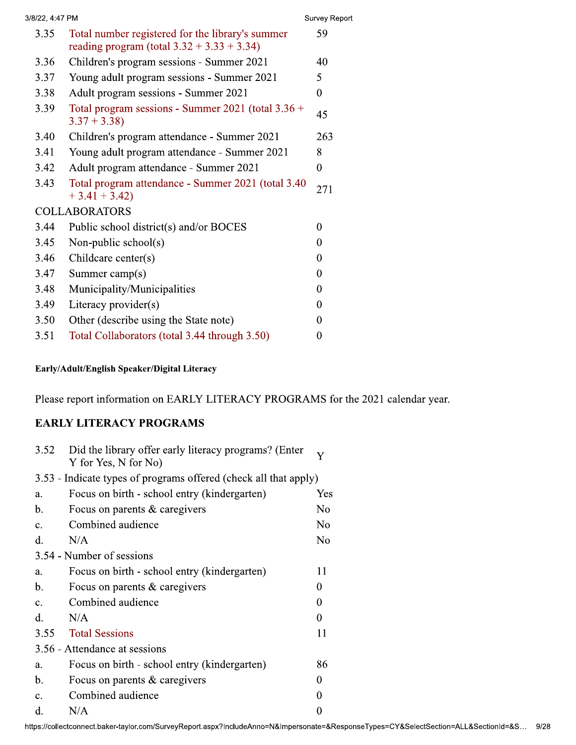| 3/8/22, 4:47 PM |                                                                                                   | Survey Report    |
|-----------------|---------------------------------------------------------------------------------------------------|------------------|
| 3.35            | Total number registered for the library's summer<br>reading program (total $3.32 + 3.33 + 3.34$ ) | 59               |
| 3.36            | Children's program sessions - Summer 2021                                                         | 40               |
| 3.37            | Young adult program sessions - Summer 2021                                                        | 5                |
| 3.38            | Adult program sessions - Summer 2021                                                              | $\mathbf{0}$     |
| 3.39            | Total program sessions - Summer 2021 (total $3.36 +$<br>$3.37 + 3.38$                             | 45               |
| 3.40            | Children's program attendance - Summer 2021                                                       | 263              |
| 3.41            | Young adult program attendance - Summer 2021                                                      | 8                |
| 3.42            | Adult program attendance - Summer 2021                                                            | $\boldsymbol{0}$ |
| 3.43            | Total program attendance - Summer 2021 (total 3.40)<br>$+3.41 + 3.42$                             | 271              |
|                 | <b>COLLABORATORS</b>                                                                              |                  |
| 3.44            | Public school district(s) and/or BOCES                                                            | $\boldsymbol{0}$ |
| 3.45            | Non-public school(s)                                                                              | $\mathbf{0}$     |
| 3.46            | Childcare center(s)                                                                               | $\boldsymbol{0}$ |
| 3.47            | Summer camp $(s)$                                                                                 | $\mathbf{0}$     |
| 3.48            | Municipality/Municipalities                                                                       | $\boldsymbol{0}$ |
| 3.49            | Literacy provider(s)                                                                              | $\mathbf{0}$     |
| 3.50            | Other (describe using the State note)                                                             | $\boldsymbol{0}$ |
| 3.51            | Total Collaborators (total 3.44 through 3.50)                                                     | $\boldsymbol{0}$ |

## Early/Adult/English Speaker/Digital Literacy

Please report information on EARLY LITERACY PROGRAMS for the 2021 calendar year.

### EARLY LITERACY PROGRAMS

| 3.53 - Indicate types of programs offered (check all that apply)<br>Focus on birth - school entry (kindergarten)<br>Yes<br>a.<br>N <sub>o</sub><br>Focus on parents $&$ caregivers<br>$\mathbf b$ .<br>Combined audience<br>N <sub>o</sub><br>c.<br>N/A<br>N <sub>0</sub><br>d.<br>3.54 - Number of sessions<br>Focus on birth - school entry (kindergarten)<br>11<br>a.<br>Focus on parents $&$ caregivers<br>b.<br>$\theta$<br>Combined audience<br>$\overline{0}$<br>$\mathbf{C}$ .<br>N/A<br>d.<br>$\overline{0}$<br><b>Total Sessions</b><br>3.55<br>11<br>3.56 - Attendance at sessions<br>Focus on birth - school entry (kindergarten)<br>86<br>a.<br>Focus on parents & caregivers<br>b.<br>$\theta$<br>Combined audience<br>$\overline{0}$<br>$\mathbf{c}$ . | 3.52 | Did the library offer early literacy programs? (Enter<br>Y for Yes, N for No) | Y        |
|-----------------------------------------------------------------------------------------------------------------------------------------------------------------------------------------------------------------------------------------------------------------------------------------------------------------------------------------------------------------------------------------------------------------------------------------------------------------------------------------------------------------------------------------------------------------------------------------------------------------------------------------------------------------------------------------------------------------------------------------------------------------------|------|-------------------------------------------------------------------------------|----------|
|                                                                                                                                                                                                                                                                                                                                                                                                                                                                                                                                                                                                                                                                                                                                                                       |      |                                                                               |          |
|                                                                                                                                                                                                                                                                                                                                                                                                                                                                                                                                                                                                                                                                                                                                                                       |      |                                                                               |          |
|                                                                                                                                                                                                                                                                                                                                                                                                                                                                                                                                                                                                                                                                                                                                                                       |      |                                                                               |          |
|                                                                                                                                                                                                                                                                                                                                                                                                                                                                                                                                                                                                                                                                                                                                                                       |      |                                                                               |          |
|                                                                                                                                                                                                                                                                                                                                                                                                                                                                                                                                                                                                                                                                                                                                                                       |      |                                                                               |          |
|                                                                                                                                                                                                                                                                                                                                                                                                                                                                                                                                                                                                                                                                                                                                                                       |      |                                                                               |          |
|                                                                                                                                                                                                                                                                                                                                                                                                                                                                                                                                                                                                                                                                                                                                                                       |      |                                                                               |          |
|                                                                                                                                                                                                                                                                                                                                                                                                                                                                                                                                                                                                                                                                                                                                                                       |      |                                                                               |          |
|                                                                                                                                                                                                                                                                                                                                                                                                                                                                                                                                                                                                                                                                                                                                                                       |      |                                                                               |          |
|                                                                                                                                                                                                                                                                                                                                                                                                                                                                                                                                                                                                                                                                                                                                                                       |      |                                                                               |          |
|                                                                                                                                                                                                                                                                                                                                                                                                                                                                                                                                                                                                                                                                                                                                                                       |      |                                                                               |          |
|                                                                                                                                                                                                                                                                                                                                                                                                                                                                                                                                                                                                                                                                                                                                                                       |      |                                                                               |          |
|                                                                                                                                                                                                                                                                                                                                                                                                                                                                                                                                                                                                                                                                                                                                                                       |      |                                                                               |          |
|                                                                                                                                                                                                                                                                                                                                                                                                                                                                                                                                                                                                                                                                                                                                                                       |      |                                                                               |          |
|                                                                                                                                                                                                                                                                                                                                                                                                                                                                                                                                                                                                                                                                                                                                                                       |      |                                                                               |          |
|                                                                                                                                                                                                                                                                                                                                                                                                                                                                                                                                                                                                                                                                                                                                                                       | d.   | N/A                                                                           | $\theta$ |
| https://collectconnect.baker-taylor.com/SurveyReport.aspx?IncludeAnno=N&Impersonate=&ResponseTypes=CY&SelectSection=ALL&SectionId=&S                                                                                                                                                                                                                                                                                                                                                                                                                                                                                                                                                                                                                                  |      |                                                                               | 9/28     |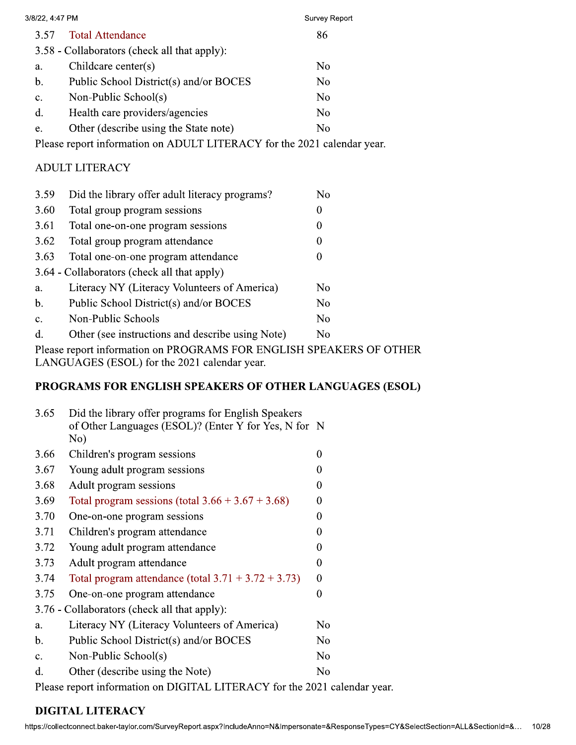| 3/8/22, 4:47 PM |                                              | <b>Survey Report</b> |  |
|-----------------|----------------------------------------------|----------------------|--|
| 3.57            | <b>Total Attendance</b>                      | 86                   |  |
|                 | 3.58 - Collaborators (check all that apply): |                      |  |
| a.              | Childcare center $(s)$                       | No                   |  |
| $\mathbf b$ .   | Public School District(s) and/or BOCES       | No                   |  |
| $\mathbf{c}$ .  | Non-Public School(s)                         | N <sub>0</sub>       |  |
| d.              | Health care providers/agencies               | N <sub>o</sub>       |  |
| e.              | Other (describe using the State note)        | No                   |  |
|                 |                                              |                      |  |

Please report information on ADULT LITERACY for the 2021 calendar year.

## ADULT LITERACY

| 3.59           | Did the library offer adult literacy programs?   | No               |
|----------------|--------------------------------------------------|------------------|
| 3.60           | Total group program sessions                     | $\boldsymbol{0}$ |
| 3.61           | Total one-on-one program sessions                | 0                |
| 3.62           | Total group program attendance                   | $\boldsymbol{0}$ |
| 3.63           | Total one-on-one program attendance              | $\boldsymbol{0}$ |
|                | 3.64 - Collaborators (check all that apply)      |                  |
| a.             | Literacy NY (Literacy Volunteers of America)     | No               |
| $\mathbf b$ .  | Public School District(s) and/or BOCES           | N <sub>0</sub>   |
| $\mathbf{c}$ . | Non-Public Schools                               | N <sub>o</sub>   |
| d.             | Other (see instructions and describe using Note) | N <sub>o</sub>   |

Please report information on PROGRAMS FOR ENGLISH SPEAKERS OF OTHER LANGUAGES (ESOL) for the 2021 calendar year.

## PROGRAMS FOR ENGLISH SPEAKERS OF OTHER LANGUAGES (ESOL)

| 3.66<br>3.67<br>3.68<br>3.69<br>3.70<br>3.71<br>3.72<br>3.73<br>3.74<br>3.75<br>a.<br>$\mathbf b$ .<br>c.<br>d. | Did the library offer programs for English Speakers<br>of Other Languages (ESOL)? (Enter Y for Yes, N for N<br>No)                                              |                  |
|-----------------------------------------------------------------------------------------------------------------|-----------------------------------------------------------------------------------------------------------------------------------------------------------------|------------------|
|                                                                                                                 | Children's program sessions                                                                                                                                     | $\boldsymbol{0}$ |
|                                                                                                                 | Young adult program sessions                                                                                                                                    | $\theta$         |
|                                                                                                                 | Adult program sessions                                                                                                                                          | $\theta$         |
|                                                                                                                 | Total program sessions (total $3.66 + 3.67 + 3.68$ )                                                                                                            | $\overline{0}$   |
|                                                                                                                 | One-on-one program sessions                                                                                                                                     | $\boldsymbol{0}$ |
|                                                                                                                 | Children's program attendance                                                                                                                                   | 0                |
|                                                                                                                 | Young adult program attendance                                                                                                                                  | $\Omega$         |
|                                                                                                                 | Adult program attendance                                                                                                                                        | $\overline{0}$   |
|                                                                                                                 | Total program attendance (total $3.71 + 3.72 + 3.73$ )                                                                                                          | $\mathbf{0}$     |
|                                                                                                                 | One-on-one program attendance                                                                                                                                   | $\boldsymbol{0}$ |
|                                                                                                                 | 3.76 - Collaborators (check all that apply):                                                                                                                    |                  |
|                                                                                                                 | Literacy NY (Literacy Volunteers of America)                                                                                                                    | N <sub>o</sub>   |
|                                                                                                                 | Public School District(s) and/or BOCES                                                                                                                          | N <sub>o</sub>   |
|                                                                                                                 | Non-Public School(s)                                                                                                                                            | N <sub>o</sub>   |
|                                                                                                                 | Other (describe using the Note)                                                                                                                                 | N <sub>o</sub>   |
|                                                                                                                 | Please report information on DIGITAL LITERACY for the 2021 calendar year.                                                                                       |                  |
|                                                                                                                 | <b>DIGITAL LITERACY</b><br>https://collectconnect.baker-taylor.com/SurveyReport.aspx?IncludeAnno=N&Impersonate=&ResponseTypes=CY&SelectSection=ALL&SectionId=&… | 10/28            |

# **DIGITAL LITERACY**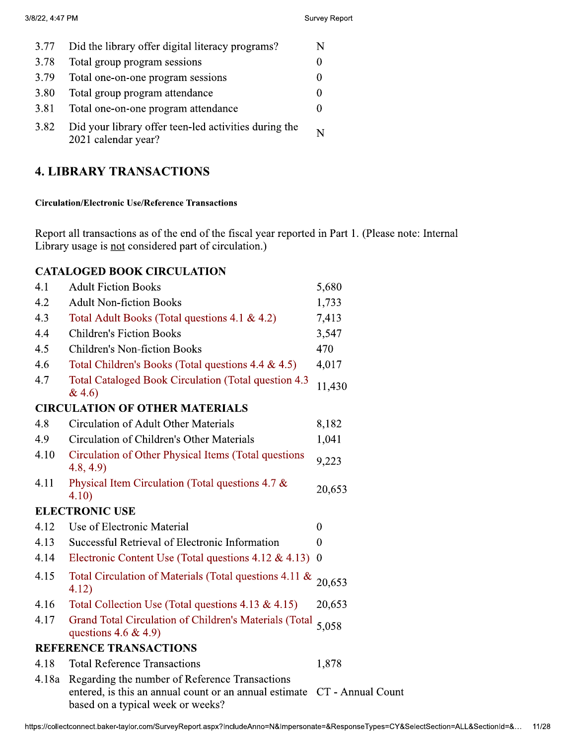| 3.77 | Did the library offer digital literacy programs?                             |  |
|------|------------------------------------------------------------------------------|--|
| 3.78 | Total group program sessions                                                 |  |
| 3.79 | Total one-on-one program sessions                                            |  |
| 3.80 | Total group program attendance                                               |  |
| 3.81 | Total one-on-one program attendance                                          |  |
| 3.82 | Did your library offer teen-led activities during the<br>2021 calendar year? |  |

# **4. LIBRARY TRANSACTIONS**

### **Circulation/Electronic Use/Reference Transactions**

Report all transactions as of the end of the fiscal year reported in Part 1. (Please note: Internal Library usage is not considered part of circulation.)

## **CATALOGED BOOK CIRCULATION**

| 4.1   | <b>Adult Fiction Books</b>                                                                                                                                      | 5,680          |
|-------|-----------------------------------------------------------------------------------------------------------------------------------------------------------------|----------------|
| 4.2   | <b>Adult Non-fiction Books</b>                                                                                                                                  | 1,733          |
| 4.3   | Total Adult Books (Total questions 4.1 & 4.2)                                                                                                                   | 7,413          |
| 4.4   | <b>Children's Fiction Books</b>                                                                                                                                 | 3,547          |
| 4.5   | <b>Children's Non-fiction Books</b>                                                                                                                             | 470            |
| 4.6   | Total Children's Books (Total questions 4.4 & 4.5)                                                                                                              | 4,017          |
| 4.7   | Total Cataloged Book Circulation (Total question 4.3)<br>& 4.6)                                                                                                 | 11,430         |
|       | <b>CIRCULATION OF OTHER MATERIALS</b>                                                                                                                           |                |
| 4.8   | Circulation of Adult Other Materials                                                                                                                            | 8,182          |
| 4.9   | Circulation of Children's Other Materials                                                                                                                       | 1,041          |
| 4.10  | Circulation of Other Physical Items (Total questions<br>4.8, 4.9                                                                                                | 9,223          |
| 4.11  | Physical Item Circulation (Total questions $4.7 \&$<br>4.10)                                                                                                    | 20,653         |
|       | <b>ELECTRONIC USE</b>                                                                                                                                           |                |
| 4.12  | Use of Electronic Material                                                                                                                                      | $\theta$       |
| 4.13  | Successful Retrieval of Electronic Information                                                                                                                  | $\overline{0}$ |
| 4.14  | Electronic Content Use (Total questions $4.12 \& 4.13$ )                                                                                                        | $\overline{0}$ |
| 4.15  | Total Circulation of Materials (Total questions 4.11 &<br>4.12)                                                                                                 | 20,653         |
| 4.16  | Total Collection Use (Total questions $4.13 \& 4.15$ )                                                                                                          | 20,653         |
| 4.17  | Grand Total Circulation of Children's Materials (Total<br>questions $4.6 \& 4.9$                                                                                | 5,058          |
|       | <b>REFERENCE TRANSACTIONS</b>                                                                                                                                   |                |
| 4.18  | <b>Total Reference Transactions</b>                                                                                                                             | 1,878          |
| 4.18a | Regarding the number of Reference Transactions<br>entered, is this an annual count or an annual estimate CT - Annual Count<br>based on a typical week or weeks? |                |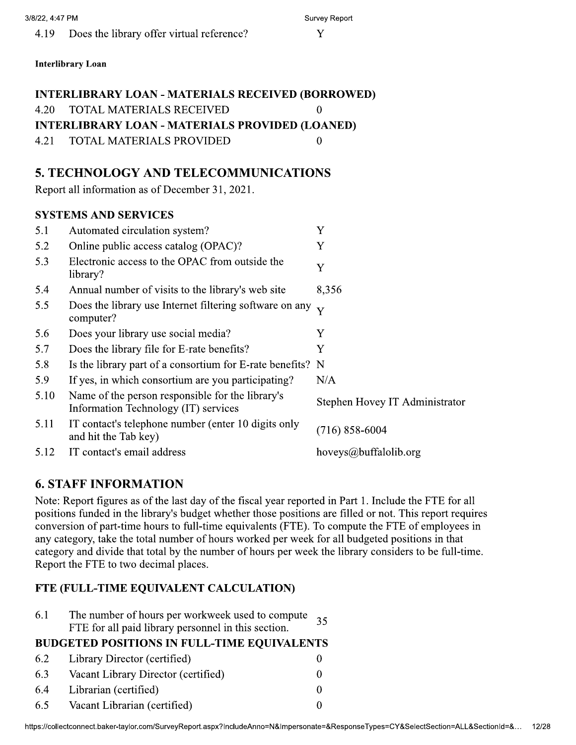|      | <b>Interlibrary Loan</b>                                                                       |                                |
|------|------------------------------------------------------------------------------------------------|--------------------------------|
|      | <b>INTERLIBRARY LOAN - MATERIALS RECEIVED (BORROWED)</b>                                       |                                |
| 4.20 | <b>TOTAL MATERIALS RECEIVED</b>                                                                | $\boldsymbol{0}$               |
|      | <b>INTERLIBRARY LOAN - MATERIALS PROVIDED (LOANED)</b>                                         |                                |
| 4.21 | <b>TOTAL MATERIALS PROVIDED</b>                                                                | $\boldsymbol{0}$               |
|      | <b>5. TECHNOLOGY AND TELECOMMUNICATIONS</b><br>Report all information as of December 31, 2021. |                                |
|      | <b>SYSTEMS AND SERVICES</b>                                                                    |                                |
| 5.1  | Automated circulation system?                                                                  | Y                              |
| 5.2  | Online public access catalog (OPAC)?                                                           | Y                              |
| 5.3  | Electronic access to the OPAC from outside the<br>library?                                     | Y                              |
| 5.4  | Annual number of visits to the library's web site                                              | 8,356                          |
| 5.5  | Does the library use Internet filtering software on any<br>computer?                           | Y                              |
| 5.6  | Does your library use social media?                                                            | Y                              |
| 5.7  | Does the library file for E-rate benefits?                                                     | Y                              |
| 5.8  | Is the library part of a consortium for E-rate benefits?                                       | $\mathbf N$                    |
| 5.9  | If yes, in which consortium are you participating?                                             | N/A                            |
| 5.10 | Name of the person responsible for the library's<br>Information Technology (IT) services       | Stephen Hovey IT Administrator |
| 5.11 | IT contact's telephone number (enter 10 digits only<br>and hit the Tab key)                    | $(716) 858 - 6004$             |
| 5.12 | IT contact's email address                                                                     | hoveys@buffalolib.org          |

4.19 Does the library offer virtual reference?  $\overline{Y}$ 

Survey Report

# 6. STAFF INFORMATION

3/8/22, 4:47 PM

Note: Report figures as of the last day of the fiscal year reported in Part 1. Include the FTE for all positions funded in the library's budget whether those positions are filled or not. This report requires conversion of part-time hours to full-time equivalents (FTE). To compute the FTE of employees in any category, take the total number of hours worked per week for all budgeted positions in that category and divide that total by the number of hours per week the library considers to be full-time. Report the FTE to two decimal places.

## FTE (FULL-TIME EQUIVALENT CALCULATION)

| 6.1 | The number of hours per workweek used to compute $\frac{35}{15}$<br>FTE for all paid library personnel in this section. |  |
|-----|-------------------------------------------------------------------------------------------------------------------------|--|
|     | <b>BUDGETED POSITIONS IN FULL-TIME EQUIVALENTS</b>                                                                      |  |
|     | 6.2 Library Director (certified)                                                                                        |  |

| 6.2 | Library Director (certified)        | $\boldsymbol{0}$                                                                                                                             |
|-----|-------------------------------------|----------------------------------------------------------------------------------------------------------------------------------------------|
| 6.3 | Vacant Library Director (certified) |                                                                                                                                              |
| 6.4 | Librarian (certified)               | O                                                                                                                                            |
| 6.5 | Vacant Librarian (certified)        | v                                                                                                                                            |
|     |                                     | https://collectconnect.baker-taylor.com/SurveyReport.aspx?IncludeAnno=N&Impersonate=&ResponseTypes=CY&SelectSection=ALL&SectionId=&<br>12/28 |
|     |                                     |                                                                                                                                              |
|     |                                     |                                                                                                                                              |
|     |                                     |                                                                                                                                              |
|     |                                     |                                                                                                                                              |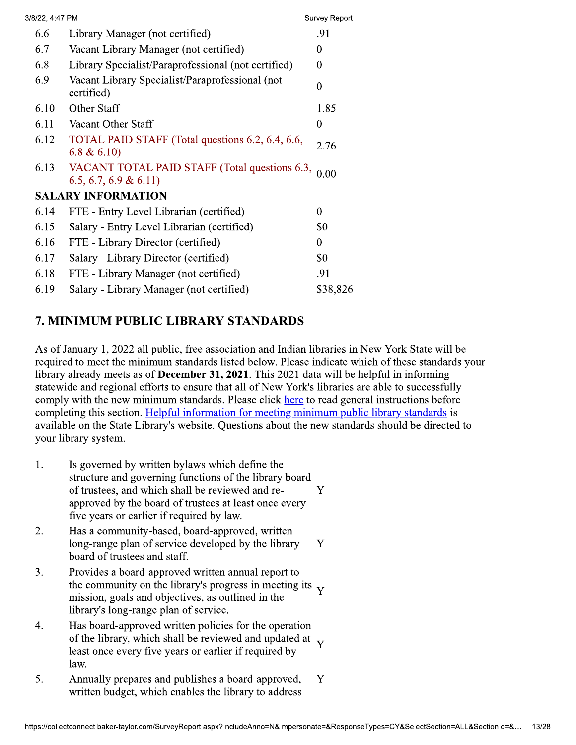| 3/8/22, 4:47 PM |                                                                                | <b>Survey Report</b> |
|-----------------|--------------------------------------------------------------------------------|----------------------|
| 6.6             | Library Manager (not certified)                                                | .91                  |
| 6.7             | Vacant Library Manager (not certified)                                         | $\theta$             |
| 6.8             | Library Specialist/Paraprofessional (not certified)                            | $\boldsymbol{0}$     |
| 6.9             | Vacant Library Specialist/Paraprofessional (not<br>certified)                  | $\boldsymbol{0}$     |
| 6.10            | Other Staff                                                                    | 1.85                 |
| 6.11            | Vacant Other Staff                                                             | $\mathbf{0}$         |
| 6.12            | TOTAL PAID STAFF (Total questions 6.2, 6.4, 6.6,<br>6.8 & 6.10)                | 2.76                 |
| 6.13            | VACANT TOTAL PAID STAFF (Total questions 6.3, 0.00)<br>$6.5, 6.7, 6.9 \& 6.11$ |                      |
|                 | <b>SALARY INFORMATION</b>                                                      |                      |
| 6.14            | FTE - Entry Level Librarian (certified)                                        | $\boldsymbol{0}$     |
| 6.15            | Salary - Entry Level Librarian (certified)                                     | \$0                  |
| 6.16            | FTE - Library Director (certified)                                             | $\mathbf{0}$         |
| 6.17            | Salary - Library Director (certified)                                          | \$0                  |
| 6.18            | FTE - Library Manager (not certified)                                          | .91                  |
| 6.19            | Salary - Library Manager (not certified)                                       | \$38,826             |
|                 |                                                                                |                      |

# 7. MINIMUM PUBLIC LIBRARY STANDARDS

As of January 1, 2022 all public, free association and Indian libraries in New York State will be required to meet the minimum standards listed below. Please indicate which of these standards your library already meets as of **December 31, 2021**. This 2021 data will be helpful in informing statewide and regional efforts to ensure that all of New York's libraries are able to successfully comply with the new minimum standards. Please click here to read general instructions before completing this section. Helpful information for meeting minimum public library standards is available on the State Library's website. Questions about the new standards should be directed to your library system.

- 1. of trustees, and which shall be reviewed and re-Is governed by written bylaws which define the structure and governing functions of the library board<br>of trustees, and which shall be reviewed and reapproved by the board of trustees at least once every of trustees, and which shall be reviewed and re-<br>approved by the board of trustees at least once every<br>five years or earlier if required by law.
- 2. long-range plan of service developed by the library Y<br>board of trustees and staff. Has a community-based, board-approved, written
- $3<sub>1</sub>$ mission, goals and objectives, as outlined in the<br>library's long-range plan of service. Provides a board-approved written annual report to the community on the library's progress in meeting its  $\overline{Y}$
- $\overline{4}$ . least once every five years or earlier if required by  $\frac{Y}{X}$ Has board-approved written policies for the operation of the library, which shall be reviewed and updated at  $\gamma$
- 2012<br>
1 aw.<br>
5. Annually prepares and publishes a board-approved, Y<br>
written budget, which enables the library to address<br>
https://collectconnect.baker-taylor.com/SurveyReport.aspx?IncludeAnno=N&Impersonate=&ResponseTypes= 5. Annually prepares and publishes a board-approved, written budget, which enables the library to address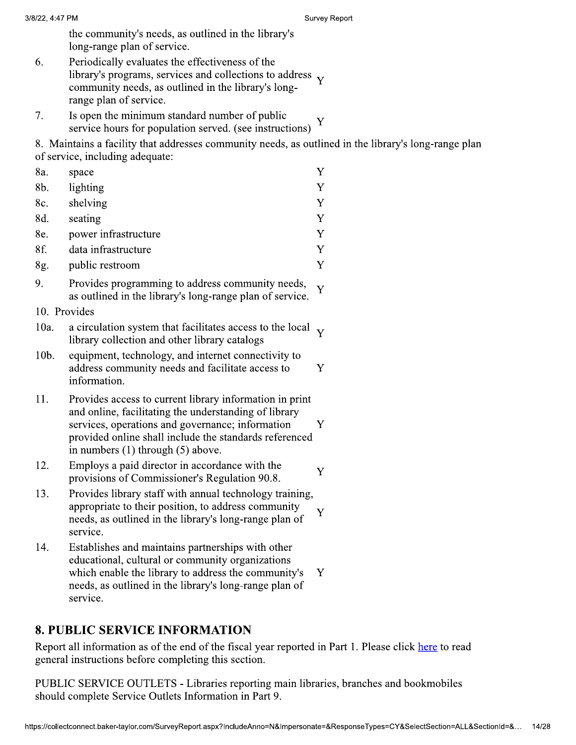the community's needs, as outlined in the library's long-range plan of service.

- $6.$ community needs, as outlined in the library's long- $\frac{Y}{Y}$ <br>range plan of service. Periodically evaluates the effectiveness of the  $\frac{1}{2}$  ibrary's programs, services and collections to address  $\overline{Y}$
- $\frac{1}{s}$ Is open the minimum standard number of public<br>service hours for population served. (see instructions) Y

8. Maintains a facility that addresses community needs, as outlined in the library's long-range plan of service, including adequate:

| 8a.          | space                                                                                                                                                                                                                                                                   | Y |  |
|--------------|-------------------------------------------------------------------------------------------------------------------------------------------------------------------------------------------------------------------------------------------------------------------------|---|--|
| 8b.          | lighting                                                                                                                                                                                                                                                                | Y |  |
| 8c.          | shelving                                                                                                                                                                                                                                                                | Y |  |
| 8d.          | seating                                                                                                                                                                                                                                                                 | Y |  |
| 8e.          | power infrastructure                                                                                                                                                                                                                                                    | Y |  |
| 8f.          | data infrastructure                                                                                                                                                                                                                                                     | Y |  |
| 8g.          | public restroom                                                                                                                                                                                                                                                         | Y |  |
| 9.           | Provides programming to address community needs,<br>as outlined in the library's long-range plan of service.                                                                                                                                                            | Y |  |
| 10. Provides |                                                                                                                                                                                                                                                                         |   |  |
| 10a.         | a circulation system that facilitates access to the local<br>library collection and other library catalogs                                                                                                                                                              | Y |  |
| 10b.         | equipment, technology, and internet connectivity to<br>address community needs and facilitate access to<br>information.                                                                                                                                                 | Y |  |
| 11.          | Provides access to current library information in print<br>and online, facilitating the understanding of library<br>services, operations and governance; information<br>provided online shall include the standards referenced<br>in numbers $(1)$ through $(5)$ above. | Y |  |
| 12.          | Employs a paid director in accordance with the<br>provisions of Commissioner's Regulation 90.8.                                                                                                                                                                         | Y |  |
| 13.          | Provides library staff with annual technology training,<br>appropriate to their position, to address community<br>needs, as outlined in the library's long-range plan of<br>service.                                                                                    | Y |  |
| 14.          | Establishes and maintains partnerships with other<br>educational, cultural or community organizations<br>which enable the library to address the community's<br>needs, as outlined in the library's long-range plan of<br>service.                                      | Y |  |

# 8. PUBLIC SERVICE INFORMATION

Report all information as of the end of the fiscal year reported in Part 1. Please click here to read general instructions before completing this section.

general instructions before completing this section.<br>
PUBLIC SERVICE OUTLETS - Libraries reporting main libraries, branches and bookmobiles<br>
should complete Service Outlets Information in Part 9.<br>
https://collectconnect.ba PUBLIC SERVICE OUTLETS - Libraries reporting main libraries, branches and bookmobiles should complete Service Outlets Information in Part 9.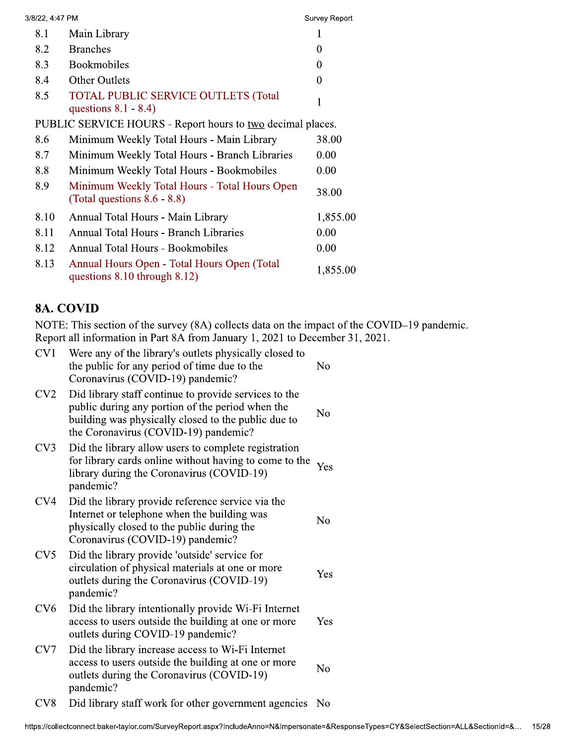| 3/8/22, 4:47 PM |                                                                                 | Survey Report    |
|-----------------|---------------------------------------------------------------------------------|------------------|
| 8.1             | Main Library                                                                    | 1                |
| 8.2             | <b>Branches</b>                                                                 | $\boldsymbol{0}$ |
| 8.3             | <b>Bookmobiles</b>                                                              | $\mathbf{0}$     |
| 8.4             | <b>Other Outlets</b>                                                            | 0                |
| 8.5             | <b>TOTAL PUBLIC SERVICE OUTLETS (Total</b><br>questions $8.1 - 8.4$ )           | 1                |
|                 | PUBLIC SERVICE HOURS - Report hours to two decimal places.                      |                  |
| 8.6             | Minimum Weekly Total Hours - Main Library                                       | 38.00            |
| 8.7             | Minimum Weekly Total Hours - Branch Libraries                                   | 0.00             |
| 8.8             | Minimum Weekly Total Hours - Bookmobiles                                        | 0.00             |
| 8.9             | Minimum Weekly Total Hours - Total Hours Open<br>(Total questions $8.6 - 8.8$ ) | 38.00            |
| 8.10            | Annual Total Hours - Main Library                                               | 1,855.00         |
| 8.11            | <b>Annual Total Hours - Branch Libraries</b>                                    | 0.00             |
| 8.12            | <b>Annual Total Hours - Bookmobiles</b>                                         | 0.00             |
| 8.13            | Annual Hours Open - Total Hours Open (Total<br>questions 8.10 through 8.12)     | 1,855.00         |

# 8A. COVID

NOTE: This section of the survey (8A) collects data on the impact of the COVID-19 pandemic. Report all information in Part 8A from January 1, 2021 to December 31, 2021.

| CV <sub>2</sub><br>CV <sub>3</sub> | Did library staff continue to provide services to the<br>public during any portion of the period when the<br>building was physically closed to the public due to                   | N <sub>o</sub> |
|------------------------------------|------------------------------------------------------------------------------------------------------------------------------------------------------------------------------------|----------------|
|                                    | the Coronavirus (COVID-19) pandemic?                                                                                                                                               |                |
|                                    | Did the library allow users to complete registration<br>for library cards online without having to come to the<br>library during the Coronavirus (COVID-19)<br>pandemic?           | Yes            |
| CV4                                | Did the library provide reference service via the<br>Internet or telephone when the building was<br>physically closed to the public during the<br>Coronavirus (COVID-19) pandemic? | N <sub>o</sub> |
| CV <sub>5</sub>                    | Did the library provide 'outside' service for<br>circulation of physical materials at one or more<br>outlets during the Coronavirus (COVID-19)<br>pandemic?                        | Yes            |
| CV <sub>6</sub>                    | Did the library intentionally provide Wi-Fi Internet<br>access to users outside the building at one or more<br>outlets during COVID-19 pandemic?                                   | Yes            |
| CV <sub>7</sub>                    | Did the library increase access to Wi-Fi Internet<br>access to users outside the building at one or more<br>outlets during the Coronavirus (COVID-19)<br>pandemic?                 | N <sub>o</sub> |
| CV <sub>8</sub>                    | Did library staff work for other government agencies No                                                                                                                            |                |
|                                    | https://collectconnect.baker-taylor.com/SurveyReport.aspx?IncludeAnno=N&Impersonate=&ResponseTypes=CY&SelectSection=ALL&SectionId=&                                                | 15/28          |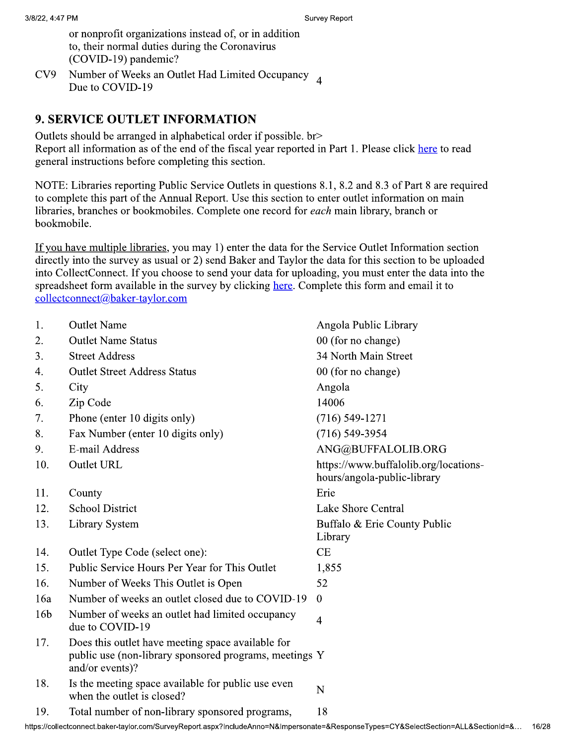or nonprofit organizations instead of, or in addition to, their normal duties during the Coronavirus (COVID-19) pandemic?

 $CV9$ Number of Weeks an Outlet Had Limited Occupancy  $\overline{A}$ Due to COVID-19

# **9. SERVICE OUTLET INFORMATION**

Outlets should be arranged in alphabetical order if possible. br> Report all information as of the end of the fiscal year reported in Part 1. Please click here to read general instructions before completing this section.

NOTE: Libraries reporting Public Service Outlets in questions 8.1, 8.2 and 8.3 of Part 8 are required to complete this part of the Annual Report. Use this section to enter outlet information on main libraries, branches or bookmobiles. Complete one record for each main library, branch or bookmobile.

If you have multiple libraries, you may 1) enter the data for the Service Outlet Information section directly into the survey as usual or 2) send Baker and Taylor the data for this section to be uploaded into CollectConnect. If you choose to send your data for uploading, you must enter the data into the spreadsheet form available in the survey by clicking here. Complete this form and email it to collectconnect@baker-taylor.com

| <b>Outlet Name</b>                                                                                                             | Angola Public Library                                                |
|--------------------------------------------------------------------------------------------------------------------------------|----------------------------------------------------------------------|
| <b>Outlet Name Status</b>                                                                                                      | 00 (for no change)                                                   |
| <b>Street Address</b>                                                                                                          | 34 North Main Street                                                 |
| <b>Outlet Street Address Status</b>                                                                                            | 00 (for no change)                                                   |
| City                                                                                                                           | Angola                                                               |
| Zip Code                                                                                                                       | 14006                                                                |
| Phone (enter 10 digits only)                                                                                                   | $(716)$ 549-1271                                                     |
| Fax Number (enter 10 digits only)                                                                                              | $(716)$ 549-3954                                                     |
| E-mail Address                                                                                                                 | ANG@BUFFALOLIB.ORG                                                   |
| <b>Outlet URL</b>                                                                                                              | https://www.buffalolib.org/locations-<br>hours/angola-public-library |
| County                                                                                                                         | Erie                                                                 |
| <b>School District</b>                                                                                                         | Lake Shore Central                                                   |
| <b>Library System</b>                                                                                                          | Buffalo & Erie County Public<br>Library                              |
| Outlet Type Code (select one):                                                                                                 | CE                                                                   |
| Public Service Hours Per Year for This Outlet                                                                                  | 1,855                                                                |
| Number of Weeks This Outlet is Open                                                                                            | 52                                                                   |
| Number of weeks an outlet closed due to COVID-19                                                                               | $\mathbf{0}$                                                         |
| Number of weeks an outlet had limited occupancy<br>due to COVID-19                                                             | $\overline{4}$                                                       |
| Does this outlet have meeting space available for<br>public use (non-library sponsored programs, meetings Y<br>and/or events)? |                                                                      |
| Is the meeting space available for public use even<br>when the outlet is closed?                                               | N                                                                    |
| Total number of non-library sponsored programs,                                                                                | 18                                                                   |
|                                                                                                                                |                                                                      |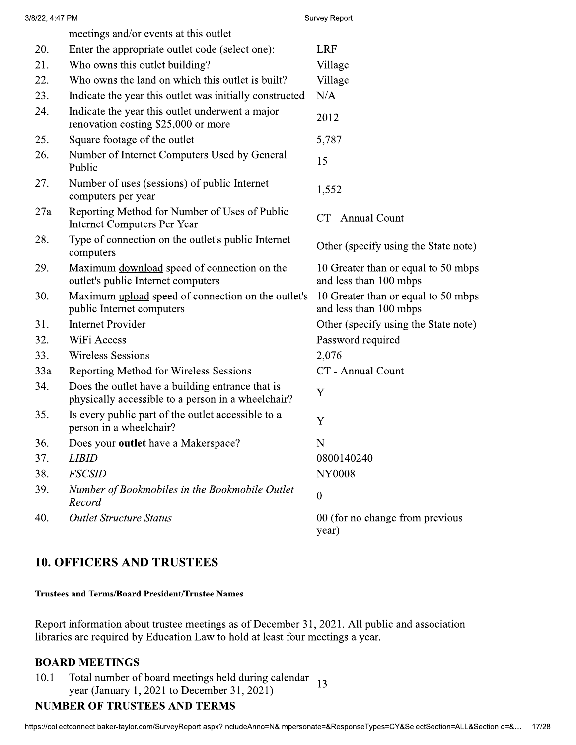| 3/8/22, 4:47 PM |                                                                                                        | Survey Report                                                 |
|-----------------|--------------------------------------------------------------------------------------------------------|---------------------------------------------------------------|
|                 | meetings and/or events at this outlet                                                                  |                                                               |
| 20.             | Enter the appropriate outlet code (select one):                                                        | <b>LRF</b>                                                    |
| 21.             | Who owns this outlet building?                                                                         | Village                                                       |
| 22.             | Who owns the land on which this outlet is built?                                                       | Village                                                       |
| 23.             | Indicate the year this outlet was initially constructed                                                | N/A                                                           |
| 24.             | Indicate the year this outlet underwent a major<br>renovation costing \$25,000 or more                 | 2012                                                          |
| 25.             | Square footage of the outlet                                                                           | 5,787                                                         |
| 26.             | Number of Internet Computers Used by General<br>Public                                                 | 15                                                            |
| 27.             | Number of uses (sessions) of public Internet<br>computers per year                                     | 1,552                                                         |
| 27a             | Reporting Method for Number of Uses of Public<br><b>Internet Computers Per Year</b>                    | CT - Annual Count                                             |
| 28.             | Type of connection on the outlet's public Internet<br>computers                                        | Other (specify using the State note)                          |
| 29.             | Maximum download speed of connection on the<br>outlet's public Internet computers                      | 10 Greater than or equal to 50 mbps<br>and less than 100 mbps |
| 30.             | Maximum upload speed of connection on the outlet's<br>public Internet computers                        | 10 Greater than or equal to 50 mbps<br>and less than 100 mbps |
| 31.             | <b>Internet Provider</b>                                                                               | Other (specify using the State note)                          |
| 32.             | WiFi Access                                                                                            | Password required                                             |
| 33.             | <b>Wireless Sessions</b>                                                                               | 2,076                                                         |
| 33a             | <b>Reporting Method for Wireless Sessions</b>                                                          | CT - Annual Count                                             |
| 34.             | Does the outlet have a building entrance that is<br>physically accessible to a person in a wheelchair? | Y                                                             |
| 35.             | Is every public part of the outlet accessible to a<br>person in a wheelchair?                          | Y                                                             |
| 36.             | Does your outlet have a Makerspace?                                                                    | N                                                             |
| 37.             | <b>LIBID</b>                                                                                           | 0800140240                                                    |
| 38.             | <b>FSCSID</b>                                                                                          | <b>NY0008</b>                                                 |
| 39.             | Number of Bookmobiles in the Bookmobile Outlet<br>Record                                               | $\boldsymbol{0}$                                              |
| 40.             | <b>Outlet Structure Status</b>                                                                         | 00 (for no change from previous<br>year)                      |

# **10. OFFICERS AND TRUSTEES**

### **Trustees and Terms/Board President/Trustee Names**

Report information about trustee meetings as of December 31, 2021. All public and association libraries are required by Education Law to hold at least four meetings a year.

### **BOARD MEETINGS**

Total number of board meetings held during calendar  $13$ 10.1 year (January 1, 2021 to December 31, 2021)

# **NUMBER OF TRUSTEES AND TERMS**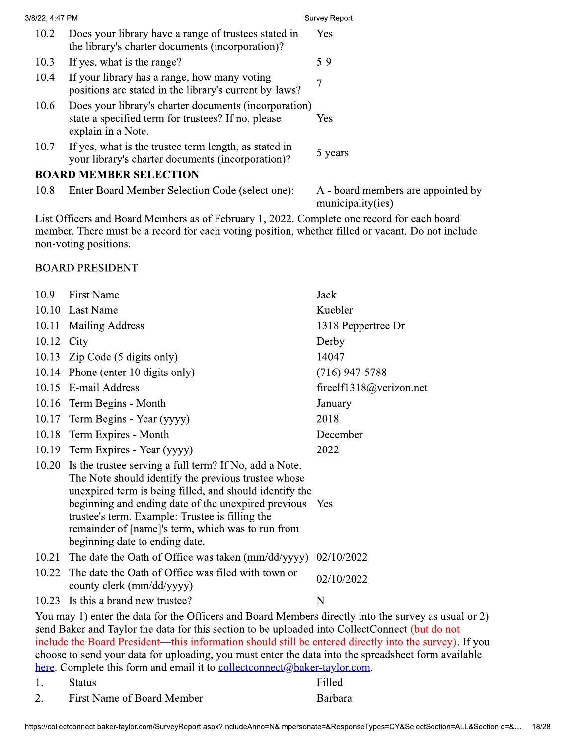| 3/8/22, 4:47 PM |                                                                                                                                   | <b>Survey Report</b>                                    |
|-----------------|-----------------------------------------------------------------------------------------------------------------------------------|---------------------------------------------------------|
| 10.2            | Does your library have a range of trustees stated in<br>the library's charter documents (incorporation)?                          | Yes                                                     |
| 10.3            | If yes, what is the range?                                                                                                        | $5-9$                                                   |
| 10.4            | If your library has a range, how many voting<br>positions are stated in the library's current by-laws?                            | 7                                                       |
| 10.6            | Does your library's charter documents (incorporation)<br>state a specified term for trustees? If no, please<br>explain in a Note. | Yes                                                     |
| 10.7            | If yes, what is the trustee term length, as stated in<br>your library's charter documents (incorporation)?                        | 5 years                                                 |
|                 | <b>BOARD MEMBER SELECTION</b>                                                                                                     |                                                         |
| 10.8            | Enter Board Member Selection Code (select one):                                                                                   | A - board members are appointed by<br>municipality(ies) |

List Officers and Board Members as of February 1, 2022. Complete one record for each board member. There must be a record for each voting position, whether filled or vacant. Do not include non-voting positions.

## BOARD PRESIDENT

| 10.9                                                                                                                                                                                                                                                                                                                                                                                                                                                                                                      | <b>First Name</b>                                                                                                                                                                                                                                                                                                                                                                   | Jack                    |
|-----------------------------------------------------------------------------------------------------------------------------------------------------------------------------------------------------------------------------------------------------------------------------------------------------------------------------------------------------------------------------------------------------------------------------------------------------------------------------------------------------------|-------------------------------------------------------------------------------------------------------------------------------------------------------------------------------------------------------------------------------------------------------------------------------------------------------------------------------------------------------------------------------------|-------------------------|
| 10.10                                                                                                                                                                                                                                                                                                                                                                                                                                                                                                     | <b>Last Name</b>                                                                                                                                                                                                                                                                                                                                                                    | Kuebler                 |
| 10.11                                                                                                                                                                                                                                                                                                                                                                                                                                                                                                     | <b>Mailing Address</b>                                                                                                                                                                                                                                                                                                                                                              | 1318 Peppertree Dr      |
| 10.12                                                                                                                                                                                                                                                                                                                                                                                                                                                                                                     | City                                                                                                                                                                                                                                                                                                                                                                                | Derby                   |
| 10.13                                                                                                                                                                                                                                                                                                                                                                                                                                                                                                     | Zip Code (5 digits only)                                                                                                                                                                                                                                                                                                                                                            | 14047                   |
|                                                                                                                                                                                                                                                                                                                                                                                                                                                                                                           | 10.14 Phone (enter 10 digits only)                                                                                                                                                                                                                                                                                                                                                  | $(716)$ 947-5788        |
| 10.15                                                                                                                                                                                                                                                                                                                                                                                                                                                                                                     | E-mail Address                                                                                                                                                                                                                                                                                                                                                                      | fireelf1318@verizon.net |
| 10.16                                                                                                                                                                                                                                                                                                                                                                                                                                                                                                     | Term Begins - Month                                                                                                                                                                                                                                                                                                                                                                 | January                 |
| 10.17                                                                                                                                                                                                                                                                                                                                                                                                                                                                                                     | Term Begins - Year (yyyy)                                                                                                                                                                                                                                                                                                                                                           | 2018                    |
| 10.18                                                                                                                                                                                                                                                                                                                                                                                                                                                                                                     | Term Expires - Month                                                                                                                                                                                                                                                                                                                                                                | December                |
|                                                                                                                                                                                                                                                                                                                                                                                                                                                                                                           | 10.19 Term Expires - Year (yyyy)                                                                                                                                                                                                                                                                                                                                                    | 2022                    |
|                                                                                                                                                                                                                                                                                                                                                                                                                                                                                                           | 10.20 Is the trustee serving a full term? If No, add a Note.<br>The Note should identify the previous trustee whose<br>unexpired term is being filled, and should identify the<br>beginning and ending date of the unexpired previous Yes<br>trustee's term. Example: Trustee is filling the<br>remainder of [name]'s term, which was to run from<br>beginning date to ending date. |                         |
| 10.21                                                                                                                                                                                                                                                                                                                                                                                                                                                                                                     | The date the Oath of Office was taken $\frac{\text{mm}}{\text{dd}}\text{yyy}$ 02/10/2022                                                                                                                                                                                                                                                                                            |                         |
| 10.22                                                                                                                                                                                                                                                                                                                                                                                                                                                                                                     | The date the Oath of Office was filed with town or<br>county clerk (mm/dd/yyyy)                                                                                                                                                                                                                                                                                                     | 02/10/2022              |
|                                                                                                                                                                                                                                                                                                                                                                                                                                                                                                           | 10.23 Is this a brand new trustee?                                                                                                                                                                                                                                                                                                                                                  | N                       |
| You may 1) enter the data for the Officers and Board Members directly into the survey as usual or 2)<br>send Baker and Taylor the data for this section to be uploaded into CollectConnect (but do not<br>include the Board President—this information should still be entered directly into the survey). If you<br>choose to send your data for uploading, you must enter the data into the spreadsheet form available<br>here. Complete this form and email it to collect connect (a) baker-taylor.com. |                                                                                                                                                                                                                                                                                                                                                                                     |                         |

|                                                                                                                                              |                                                                                                 | choose to send your data for uploading, you must enter the data muo the spreadsheet form available |  |
|----------------------------------------------------------------------------------------------------------------------------------------------|-------------------------------------------------------------------------------------------------|----------------------------------------------------------------------------------------------------|--|
|                                                                                                                                              | <u>here</u> . Complete this form and email it to <u>collect connect</u> $(a)$ baker-taylor.com. |                                                                                                    |  |
|                                                                                                                                              | <b>Status</b>                                                                                   | Filled                                                                                             |  |
|                                                                                                                                              | First Name of Board Member                                                                      | <b>Barbara</b>                                                                                     |  |
|                                                                                                                                              |                                                                                                 |                                                                                                    |  |
| https://collectconnect.baker-taylor.com/SurveyReport.aspx?IncludeAnno=N&Impersonate=&ResponseTypes=CY&SelectSection=ALL&SectionId=&<br>18/28 |                                                                                                 |                                                                                                    |  |
|                                                                                                                                              |                                                                                                 |                                                                                                    |  |
|                                                                                                                                              |                                                                                                 |                                                                                                    |  |
|                                                                                                                                              |                                                                                                 |                                                                                                    |  |
|                                                                                                                                              |                                                                                                 |                                                                                                    |  |
|                                                                                                                                              |                                                                                                 |                                                                                                    |  |
|                                                                                                                                              |                                                                                                 |                                                                                                    |  |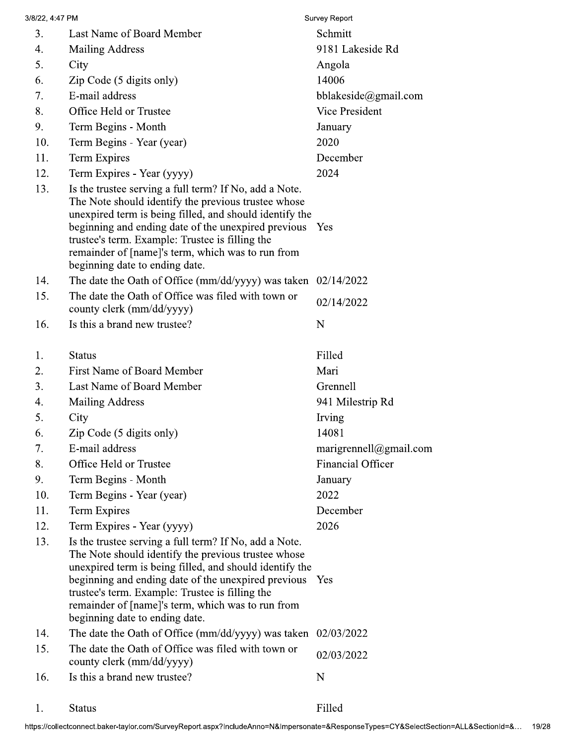| 3/8/22, 4:47 PM |                                                                                                                                                                                                                                                                                                                                                                               | Survey Report            |
|-----------------|-------------------------------------------------------------------------------------------------------------------------------------------------------------------------------------------------------------------------------------------------------------------------------------------------------------------------------------------------------------------------------|--------------------------|
| 3.              | Last Name of Board Member                                                                                                                                                                                                                                                                                                                                                     | Schmitt                  |
| 4.              | <b>Mailing Address</b>                                                                                                                                                                                                                                                                                                                                                        | 9181 Lakeside Rd         |
| 5.              | City                                                                                                                                                                                                                                                                                                                                                                          | Angola                   |
| 6.              | Zip Code (5 digits only)                                                                                                                                                                                                                                                                                                                                                      | 14006                    |
| 7.              | E-mail address                                                                                                                                                                                                                                                                                                                                                                | bblakeside@gmail.com     |
| 8.              | Office Held or Trustee                                                                                                                                                                                                                                                                                                                                                        | <b>Vice President</b>    |
| 9.              | Term Begins - Month                                                                                                                                                                                                                                                                                                                                                           | January                  |
| 10.             | Term Begins - Year (year)                                                                                                                                                                                                                                                                                                                                                     | 2020                     |
| 11.             | Term Expires                                                                                                                                                                                                                                                                                                                                                                  | December                 |
| 12.             | Term Expires - Year (yyyy)                                                                                                                                                                                                                                                                                                                                                    | 2024                     |
| 13.             | Is the trustee serving a full term? If No, add a Note.<br>The Note should identify the previous trustee whose<br>unexpired term is being filled, and should identify the<br>beginning and ending date of the unexpired previous Yes<br>trustee's term. Example: Trustee is filling the<br>remainder of [name]'s term, which was to run from<br>beginning date to ending date. |                          |
| 14.             | The date the Oath of Office ( $mm/dd/yyyy$ ) was taken $02/14/2022$                                                                                                                                                                                                                                                                                                           |                          |
| 15.             | The date the Oath of Office was filed with town or<br>county clerk (mm/dd/yyyy)                                                                                                                                                                                                                                                                                               | 02/14/2022               |
| 16.             | Is this a brand new trustee?                                                                                                                                                                                                                                                                                                                                                  | N                        |
| 1.              | <b>Status</b>                                                                                                                                                                                                                                                                                                                                                                 | Filled                   |
| 2.              | First Name of Board Member                                                                                                                                                                                                                                                                                                                                                    | Mari                     |
| 3.              | Last Name of Board Member                                                                                                                                                                                                                                                                                                                                                     | Grennell                 |
| 4.              | <b>Mailing Address</b>                                                                                                                                                                                                                                                                                                                                                        | 941 Milestrip Rd         |
| 5.              | City                                                                                                                                                                                                                                                                                                                                                                          | Irving                   |
| 6.              | Zip Code (5 digits only)                                                                                                                                                                                                                                                                                                                                                      | 14081                    |
| 7.              | E-mail address                                                                                                                                                                                                                                                                                                                                                                | marigrennell@gmail.com   |
| 8.              | Office Held or Trustee                                                                                                                                                                                                                                                                                                                                                        | <b>Financial Officer</b> |
| 9.              | Term Begins - Month                                                                                                                                                                                                                                                                                                                                                           | January                  |
| 10.             | Term Begins - Year (year)                                                                                                                                                                                                                                                                                                                                                     | 2022                     |
| 11.             | <b>Term Expires</b>                                                                                                                                                                                                                                                                                                                                                           | December                 |
| 12.             | Term Expires - Year (yyyy)                                                                                                                                                                                                                                                                                                                                                    | 2026                     |
| 13.             | Is the trustee serving a full term? If No, add a Note.<br>The Note should identify the previous trustee whose<br>unexpired term is being filled, and should identify the<br>beginning and ending date of the unexpired previous<br>trustee's term. Example: Trustee is filling the<br>remainder of [name]'s term, which was to run from<br>beginning date to ending date.     | Yes                      |
| 14.             | The date the Oath of Office ( $mm/dd/yyyy$ ) was taken $02/03/2022$                                                                                                                                                                                                                                                                                                           |                          |
| 15.             | The date the Oath of Office was filed with town or<br>county clerk (mm/dd/yyyy)                                                                                                                                                                                                                                                                                               | 02/03/2022               |
| 16.             | Is this a brand new trustee?                                                                                                                                                                                                                                                                                                                                                  | N                        |
| 1.              | <b>Status</b>                                                                                                                                                                                                                                                                                                                                                                 | Filled                   |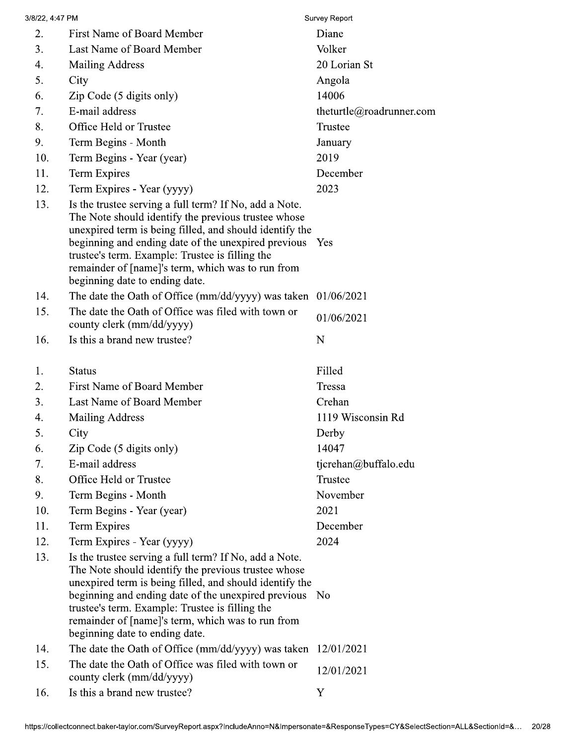| 3/8/22, 4:47 PM |                                                                                                                                                                                                                                                                                                                                                                           | Survey Report            |
|-----------------|---------------------------------------------------------------------------------------------------------------------------------------------------------------------------------------------------------------------------------------------------------------------------------------------------------------------------------------------------------------------------|--------------------------|
| 2.              | <b>First Name of Board Member</b>                                                                                                                                                                                                                                                                                                                                         | Diane                    |
| 3.              | Last Name of Board Member                                                                                                                                                                                                                                                                                                                                                 | Volker                   |
| 4.              | <b>Mailing Address</b>                                                                                                                                                                                                                                                                                                                                                    | 20 Lorian St             |
| 5.              | City                                                                                                                                                                                                                                                                                                                                                                      | Angola                   |
| 6.              | Zip Code (5 digits only)                                                                                                                                                                                                                                                                                                                                                  | 14006                    |
| 7.              | E-mail address                                                                                                                                                                                                                                                                                                                                                            | theturtle@roadrunner.com |
| 8.              | Office Held or Trustee                                                                                                                                                                                                                                                                                                                                                    | Trustee                  |
| 9.              | Term Begins - Month                                                                                                                                                                                                                                                                                                                                                       | January                  |
| 10.             | Term Begins - Year (year)                                                                                                                                                                                                                                                                                                                                                 | 2019                     |
| 11.             | <b>Term Expires</b>                                                                                                                                                                                                                                                                                                                                                       | December                 |
| 12.             | Term Expires - Year (yyyy)                                                                                                                                                                                                                                                                                                                                                | 2023                     |
| 13.             | Is the trustee serving a full term? If No, add a Note.<br>The Note should identify the previous trustee whose<br>unexpired term is being filled, and should identify the<br>beginning and ending date of the unexpired previous<br>trustee's term. Example: Trustee is filling the<br>remainder of [name]'s term, which was to run from<br>beginning date to ending date. | Yes                      |
| 14.             | The date the Oath of Office (mm/dd/yyyy) was taken                                                                                                                                                                                                                                                                                                                        | 01/06/2021               |
| 15.             | The date the Oath of Office was filed with town or<br>county clerk (mm/dd/yyyy)                                                                                                                                                                                                                                                                                           | 01/06/2021               |
| 16.             | Is this a brand new trustee?                                                                                                                                                                                                                                                                                                                                              | N                        |
|                 |                                                                                                                                                                                                                                                                                                                                                                           |                          |
| 1.              | <b>Status</b>                                                                                                                                                                                                                                                                                                                                                             | Filled                   |
| 2.              | <b>First Name of Board Member</b>                                                                                                                                                                                                                                                                                                                                         | Tressa                   |
| 3.              | Last Name of Board Member                                                                                                                                                                                                                                                                                                                                                 | Crehan                   |
| 4.              | <b>Mailing Address</b>                                                                                                                                                                                                                                                                                                                                                    | 1119 Wisconsin Rd        |
| 5.              | City                                                                                                                                                                                                                                                                                                                                                                      | Derby                    |
| 6.              | Zip Code (5 digits only)                                                                                                                                                                                                                                                                                                                                                  | 14047                    |
| 7.              | E-mail address                                                                                                                                                                                                                                                                                                                                                            | tjcrehan@buffalo.edu     |
| 8.              | Office Held or Trustee                                                                                                                                                                                                                                                                                                                                                    | Trustee                  |
| 9.              | Term Begins - Month                                                                                                                                                                                                                                                                                                                                                       | November                 |
| 10.             | Term Begins - Year (year)                                                                                                                                                                                                                                                                                                                                                 | 2021                     |
| 11.             | <b>Term Expires</b>                                                                                                                                                                                                                                                                                                                                                       | December                 |
| 12.             | Term Expires - Year (yyyy)                                                                                                                                                                                                                                                                                                                                                | 2024                     |
| 13.             | Is the trustee serving a full term? If No, add a Note.<br>The Note should identify the previous trustee whose<br>unexpired term is being filled, and should identify the<br>beginning and ending date of the unexpired previous<br>trustee's term. Example: Trustee is filling the<br>remainder of [name]'s term, which was to run from<br>beginning date to ending date. | No                       |
| 14.             | The date the Oath of Office (mm/dd/yyyy) was taken                                                                                                                                                                                                                                                                                                                        | 12/01/2021               |
| 15.             | The date the Oath of Office was filed with town or<br>county clerk (mm/dd/yyyy)                                                                                                                                                                                                                                                                                           | 12/01/2021               |
| 16.             | Is this a brand new trustee?                                                                                                                                                                                                                                                                                                                                              | Y                        |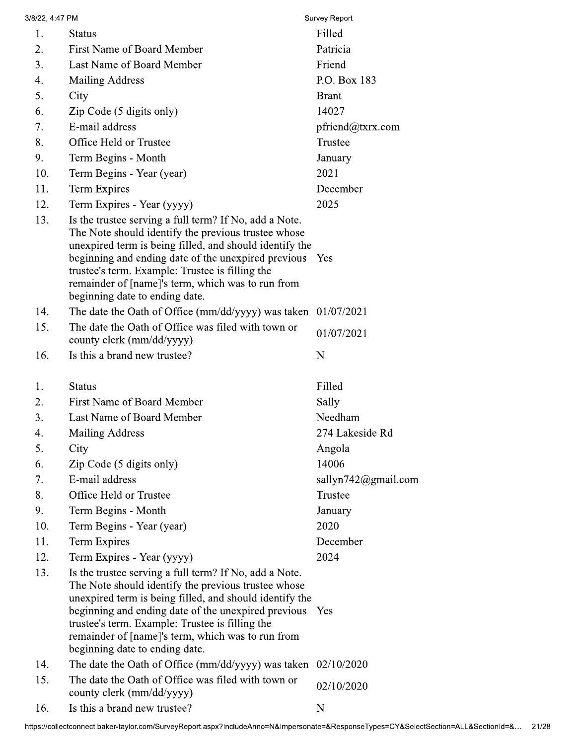| 3/8/22, 4:47 PM |                                                                                                                                                                                                                                                                                                                                                                           | Survey Report       |
|-----------------|---------------------------------------------------------------------------------------------------------------------------------------------------------------------------------------------------------------------------------------------------------------------------------------------------------------------------------------------------------------------------|---------------------|
| 1.              | <b>Status</b>                                                                                                                                                                                                                                                                                                                                                             | Filled              |
| 2.              | <b>First Name of Board Member</b>                                                                                                                                                                                                                                                                                                                                         | Patricia            |
| 3.              | Last Name of Board Member                                                                                                                                                                                                                                                                                                                                                 | Friend              |
| 4.              | <b>Mailing Address</b>                                                                                                                                                                                                                                                                                                                                                    | P.O. Box 183        |
| 5.              | City                                                                                                                                                                                                                                                                                                                                                                      | <b>Brant</b>        |
| 6.              | Zip Code (5 digits only)                                                                                                                                                                                                                                                                                                                                                  | 14027               |
| 7.              | E-mail address                                                                                                                                                                                                                                                                                                                                                            | pfriend@txrx.com    |
| 8.              | Office Held or Trustee                                                                                                                                                                                                                                                                                                                                                    | Trustee             |
| 9.              | Term Begins - Month                                                                                                                                                                                                                                                                                                                                                       | January             |
| 10.             | Term Begins - Year (year)                                                                                                                                                                                                                                                                                                                                                 | 2021                |
| 11.             | Term Expires                                                                                                                                                                                                                                                                                                                                                              | December            |
| 12.             | Term Expires - Year (yyyy)                                                                                                                                                                                                                                                                                                                                                | 2025                |
| 13.             | Is the trustee serving a full term? If No, add a Note.<br>The Note should identify the previous trustee whose<br>unexpired term is being filled, and should identify the<br>beginning and ending date of the unexpired previous<br>trustee's term. Example: Trustee is filling the<br>remainder of [name]'s term, which was to run from<br>beginning date to ending date. | Yes                 |
| 14.             | The date the Oath of Office ( $mm/dd/yyyy$ ) was taken $01/07/2021$                                                                                                                                                                                                                                                                                                       |                     |
| 15.             | The date the Oath of Office was filed with town or<br>county clerk (mm/dd/yyyy)                                                                                                                                                                                                                                                                                           | 01/07/2021          |
| 16.             | Is this a brand new trustee?                                                                                                                                                                                                                                                                                                                                              | N                   |
| 1.              | <b>Status</b>                                                                                                                                                                                                                                                                                                                                                             | Filled              |
| 2.              | <b>First Name of Board Member</b>                                                                                                                                                                                                                                                                                                                                         | Sally               |
| 3.              | Last Name of Board Member                                                                                                                                                                                                                                                                                                                                                 | Needham             |
| 4.              | <b>Mailing Address</b>                                                                                                                                                                                                                                                                                                                                                    | 274 Lakeside Rd     |
| 5.              | City                                                                                                                                                                                                                                                                                                                                                                      | Angola              |
| 6.              | Zip Code (5 digits only)                                                                                                                                                                                                                                                                                                                                                  | 14006               |
| 7.              | E-mail address                                                                                                                                                                                                                                                                                                                                                            | sallyn742@gmail.com |
| 8.              | Office Held or Trustee                                                                                                                                                                                                                                                                                                                                                    | Trustee             |
| 9.              | Term Begins - Month                                                                                                                                                                                                                                                                                                                                                       | January             |
| 10.             | Term Begins - Year (year)                                                                                                                                                                                                                                                                                                                                                 | 2020                |
| 11.             | Term Expires                                                                                                                                                                                                                                                                                                                                                              | December            |
| 12.             | Term Expires - Year (yyyy)                                                                                                                                                                                                                                                                                                                                                | 2024                |
| 13.             | Is the trustee serving a full term? If No, add a Note.<br>The Note should identify the previous trustee whose<br>unexpired term is being filled, and should identify the<br>beginning and ending date of the unexpired previous<br>trustee's term. Example: Trustee is filling the<br>remainder of [name]'s term, which was to run from<br>beginning date to ending date. | Yes                 |
| 14.             | The date the Oath of Office ( $mm/dd/yyyy$ ) was taken $02/10/2020$                                                                                                                                                                                                                                                                                                       |                     |
| 15.             | The date the Oath of Office was filed with town or<br>county clerk (mm/dd/yyyy)                                                                                                                                                                                                                                                                                           | 02/10/2020          |
| 16.             | Is this a brand new trustee?                                                                                                                                                                                                                                                                                                                                              | N                   |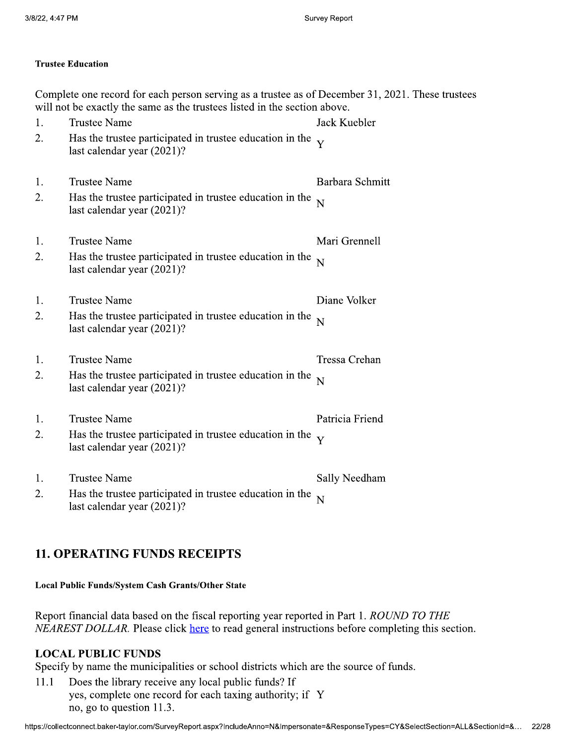### **Trustee Education**

|    | Complete one record for each person serving as a trustee as of December 31, 2021. These trustees<br>will not be exactly the same as the trustees listed in the section above. |                         |
|----|-------------------------------------------------------------------------------------------------------------------------------------------------------------------------------|-------------------------|
| 1. | <b>Trustee Name</b>                                                                                                                                                           | Jack Kuebler            |
| 2. | Has the trustee participated in trustee education in the $\overline{Y}$<br>last calendar year (2021)?                                                                         |                         |
| 1. | <b>Trustee Name</b>                                                                                                                                                           | Barbara Schmitt         |
| 2. | Has the trustee participated in trustee education in the<br>last calendar year (2021)?                                                                                        | $\overline{N}$          |
| 1. | <b>Trustee Name</b>                                                                                                                                                           | Mari Grennell           |
| 2. | Has the trustee participated in trustee education in the<br>last calendar year (2021)?                                                                                        | $\overline{\mathsf{N}}$ |
| 1. | <b>Trustee Name</b>                                                                                                                                                           | Diane Volker            |
| 2. | Has the trustee participated in trustee education in the<br>last calendar year (2021)?                                                                                        | $\overline{N}$          |
| 1. | <b>Trustee Name</b>                                                                                                                                                           | <b>Tressa Crehan</b>    |
| 2. | Has the trustee participated in trustee education in the<br>last calendar year (2021)?                                                                                        | $\overline{N}$          |
| 1. | <b>Trustee Name</b>                                                                                                                                                           | Patricia Friend         |
| 2. | Has the trustee participated in trustee education in the<br>last calendar year (2021)?                                                                                        | Y                       |
| 1. | <b>Trustee Name</b>                                                                                                                                                           | Sally Needham           |
| 2. | Has the trustee participated in trustee education in the<br>last calendar year (2021)?                                                                                        | $\overline{N}$          |

# **11. OPERATING FUNDS RECEIPTS**

### Local Public Funds/System Cash Grants/Other State

Report financial data based on the fiscal reporting year reported in Part 1. ROUND TO THE NEAREST DOLLAR. Please click here to read general instructions before completing this section.

## **LOCAL PUBLIC FUNDS**

Specify by name the municipalities or school districts which are the source of funds.

Does the library receive any local public funds? If 11.1 yes, complete one record for each taxing authority; if Y no, go to question 11.3.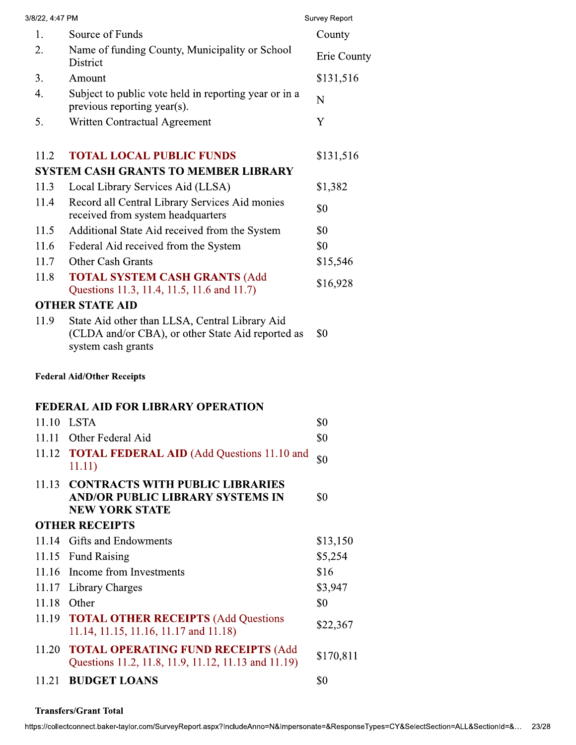| 3/8/22, 4:47 PM |                                                                                                                           | Survey Report |
|-----------------|---------------------------------------------------------------------------------------------------------------------------|---------------|
| 1.              | Source of Funds                                                                                                           | County        |
| 2.              | Name of funding County, Municipality or School<br>District                                                                | Erie County   |
| 3.              | Amount                                                                                                                    | \$131,516     |
| 4.              | Subject to public vote held in reporting year or in a<br>previous reporting year(s).                                      | N             |
| 5.              | Written Contractual Agreement                                                                                             | Y             |
| 11.2            | <b>TOTAL LOCAL PUBLIC FUNDS</b>                                                                                           | \$131,516     |
|                 | <b>SYSTEM CASH GRANTS TO MEMBER LIBRARY</b>                                                                               |               |
| 11.3            | Local Library Services Aid (LLSA)                                                                                         | \$1,382       |
| 11.4            | Record all Central Library Services Aid monies<br>received from system headquarters                                       | \$0           |
| 11.5            | Additional State Aid received from the System                                                                             | \$0           |
| 11.6            | Federal Aid received from the System                                                                                      | \$0           |
| 11.7            | <b>Other Cash Grants</b>                                                                                                  | \$15,546      |
| 11.8            | <b>TOTAL SYSTEM CASH GRANTS (Add</b><br>Questions 11.3, 11.4, 11.5, 11.6 and 11.7)                                        | \$16,928      |
|                 | <b>OTHER STATE AID</b>                                                                                                    |               |
| 11.9            | State Aid other than LLSA, Central Library Aid<br>(CLDA and/or CBA), or other State Aid reported as<br>system cash grants | \$0           |
|                 | <b>Federal Aid/Other Receipts</b>                                                                                         |               |
|                 | <b>FEDERAL AID FOR LIBRARY OPERATION</b>                                                                                  |               |
|                 | 11.10 LSTA                                                                                                                | \$0           |
| 11.11           | Other Federal Aid                                                                                                         | \$0           |
| 11.12           | <b>TOTAL FEDERAL AID (Add Questions 11.10 and</b><br>11.11)                                                               | \$0           |
| 11.13           | <b>CONTRACTS WITH PUBLIC LIBRARIES</b><br><b>AND/OR PUBLIC LIBRARY SYSTEMS IN</b><br><b>NEW YORK STATE</b>                | \$0           |
|                 | <b>OTHER RECEIPTS</b>                                                                                                     |               |
|                 | 11.14 Gifts and Endowments                                                                                                | \$13,150      |
|                 | 11.15 Fund Raising                                                                                                        | \$5,254       |
| 11.16           | Income from Investments                                                                                                   | \$16          |
| 11.17           | Library Charges                                                                                                           | \$3,947       |
| 11.18           | Other                                                                                                                     | \$0           |
| 11.19           | <b>TOTAL OTHER RECEIPTS (Add Questions</b><br>11.14, 11.15, 11.16, 11.17 and 11.18)                                       | \$22,367      |
| 11.20           | <b>TOTAL OPERATING FUND RECEIPTS (Add</b><br>Questions 11.2, 11.8, 11.9, 11.12, 11.13 and 11.19)                          | \$170,811     |
| 11.21           | <b>BUDGET LOANS</b>                                                                                                       | \$0           |

### **Transfers/Grant Total**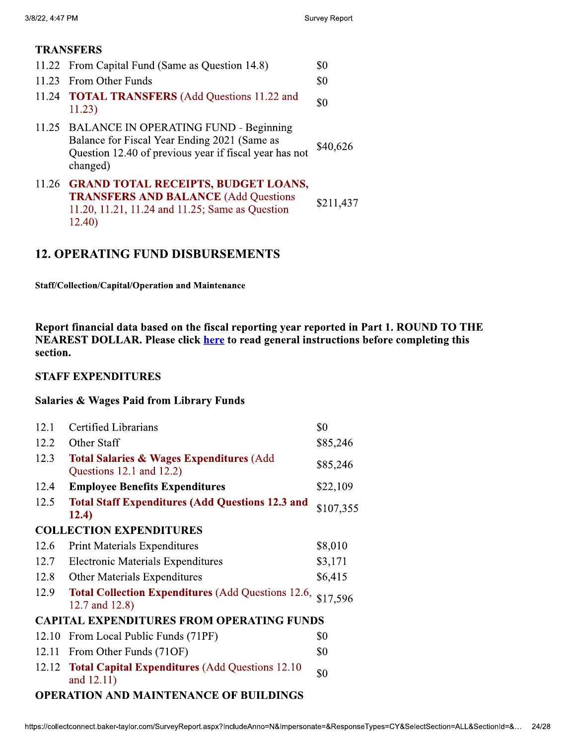## **TRANSFERS**

11.22 From Capital Fund (Same as Question 14.8) \$0 \$0 11.23 From Other Funds 11.24 TOTAL TRANSFERS (Add Questions 11.22 and \$0  $11.23)$ 11.25 BALANCE IN OPERATING FUND - Beginning Balance for Fiscal Year Ending 2021 (Same as \$40,626 Question 12.40 of previous year if fiscal year has not changed) 11.26 GRAND TOTAL RECEIPTS, BUDGET LOANS, **TRANSFERS AND BALANCE (Add Questions** \$211,437 11.20, 11.21, 11.24 and 11.25; Same as Question  $12.40)$ 

# **12. OPERATING FUND DISBURSEMENTS**

**Staff/Collection/Capital/Operation and Maintenance** 

Report financial data based on the fiscal reporting year reported in Part 1. ROUND TO THE NEAREST DOLLAR. Please click here to read general instructions before completing this section.

## **STAFF EXPENDITURES**

### **Salaries & Wages Paid from Library Funds**

| 12.1                                             | <b>Certified Librarians</b>                                                      | \$0       |  |
|--------------------------------------------------|----------------------------------------------------------------------------------|-----------|--|
| 12.2                                             | Other Staff                                                                      | \$85,246  |  |
| 12.3                                             | <b>Total Salaries &amp; Wages Expenditures (Add)</b><br>Questions 12.1 and 12.2) | \$85,246  |  |
| 12.4                                             | <b>Employee Benefits Expenditures</b>                                            | \$22,109  |  |
| 12.5                                             | <b>Total Staff Expenditures (Add Questions 12.3 and</b><br>12.4)                 | \$107,355 |  |
|                                                  | <b>COLLECTION EXPENDITURES</b>                                                   |           |  |
| 12.6                                             | <b>Print Materials Expenditures</b>                                              | \$8,010   |  |
| 12.7                                             | <b>Electronic Materials Expenditures</b>                                         | \$3,171   |  |
| 12.8                                             | <b>Other Materials Expenditures</b>                                              | \$6,415   |  |
| 12.9                                             | <b>Total Collection Expenditures (Add Questions 12.6,</b><br>12.7 and 12.8)      | \$17,596  |  |
| <b>CAPITAL EXPENDITURES FROM OPERATING FUNDS</b> |                                                                                  |           |  |
| 12.10                                            | From Local Public Funds (71PF)                                                   | \$0       |  |
|                                                  | 12.11 From Other Funds (71OF)                                                    | \$0       |  |
|                                                  | 12.12 Total Capital Expenditures (Add Questions 12.10<br>and 12.11)              | \$0       |  |

## **OPERATION AND MAINTENANCE OF BUILDINGS**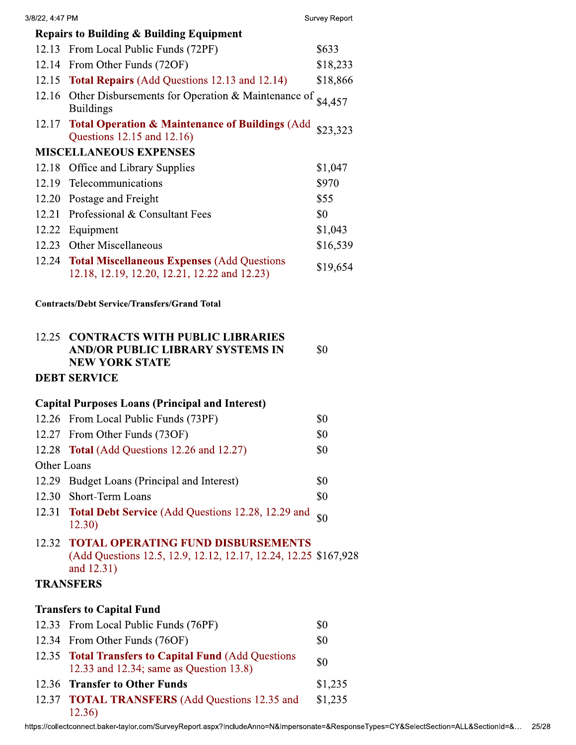| 3/8/22, 4:47 PM<br>Survey Report |                                                                                                                            |          |  |
|----------------------------------|----------------------------------------------------------------------------------------------------------------------------|----------|--|
|                                  | <b>Repairs to Building &amp; Building Equipment</b>                                                                        |          |  |
| 12.13                            | From Local Public Funds (72PF)                                                                                             | \$633    |  |
|                                  | 12.14 From Other Funds (72OF)                                                                                              | \$18,233 |  |
|                                  | 12.15 Total Repairs (Add Questions 12.13 and 12.14)                                                                        | \$18,866 |  |
| 12.16                            | Other Disbursements for Operation & Maintenance of<br><b>Buildings</b>                                                     | \$4,457  |  |
| 12.17                            | <b>Total Operation &amp; Maintenance of Buildings (Add</b><br>Questions 12.15 and 12.16)                                   | \$23,323 |  |
|                                  | <b>MISCELLANEOUS EXPENSES</b>                                                                                              |          |  |
|                                  | 12.18 Office and Library Supplies                                                                                          | \$1,047  |  |
| 12.19                            | Telecommunications                                                                                                         | \$970    |  |
|                                  | 12.20 Postage and Freight                                                                                                  | \$55     |  |
| 12.21                            | Professional & Consultant Fees                                                                                             | \$0      |  |
|                                  | 12.22 Equipment                                                                                                            | \$1,043  |  |
| 12.23                            | <b>Other Miscellaneous</b>                                                                                                 | \$16,539 |  |
|                                  | 12.24 Total Miscellaneous Expenses (Add Questions<br>12.18, 12.19, 12.20, 12.21, 12.22 and 12.23)                          | \$19,654 |  |
|                                  | <b>Contracts/Debt Service/Transfers/Grand Total</b>                                                                        |          |  |
| 12.25                            | <b>CONTRACTS WITH PUBLIC LIBRARIES</b><br><b>AND/OR PUBLIC LIBRARY SYSTEMS IN</b><br><b>NEW YORK STATE</b>                 | \$0      |  |
|                                  | <b>DEBT SERVICE</b>                                                                                                        |          |  |
|                                  | <b>Capital Purposes Loans (Principal and Interest)</b>                                                                     |          |  |
|                                  | 12.26 From Local Public Funds (73PF)                                                                                       | \$0      |  |
|                                  | 12.27 From Other Funds (73OF)                                                                                              | \$0      |  |
|                                  | 12.28 Total (Add Questions 12.26 and 12.27)                                                                                | \$0      |  |
| Other Loans                      |                                                                                                                            |          |  |
| 12.29                            | Budget Loans (Principal and Interest)                                                                                      | \$0      |  |
| 12.30                            | <b>Short-Term Loans</b>                                                                                                    | \$0      |  |
| 12.31                            | <b>Total Debt Service</b> (Add Questions 12.28, 12.29 and<br>12.30)                                                        | \$0      |  |
| 12.32                            | <b>TOTAL OPERATING FUND DISBURSEMENTS</b><br>(Add Questions 12.5, 12.9, 12.12, 12.17, 12.24, 12.25 \$167,928<br>and 12.31) |          |  |
| <b>TRANSFERS</b>                 |                                                                                                                            |          |  |
|                                  | <b>Transfers to Capital Fund</b>                                                                                           |          |  |
| 12.33                            | From Local Public Funds (76PF)                                                                                             | \$0      |  |
| 12.34                            | From Other Funds (76OF)                                                                                                    | \$0      |  |
| 12.35                            | <b>Total Transfers to Capital Fund (Add Questions</b><br>12.33 and 12.34; same as Question 13.8)                           | \$0      |  |
| 12.36                            | <b>Transfer to Other Funds</b>                                                                                             | \$1,235  |  |
| 12.37                            | <b>TOTAL TRANSFERS</b> (Add Questions 12.35 and<br>12.36)                                                                  | \$1,235  |  |
|                                  | https://collectconnect.baker.taylor.com/SurveyPopert.aspx2lpcludeAnne=N&Impersenate=&PespenseAv                            |          |  |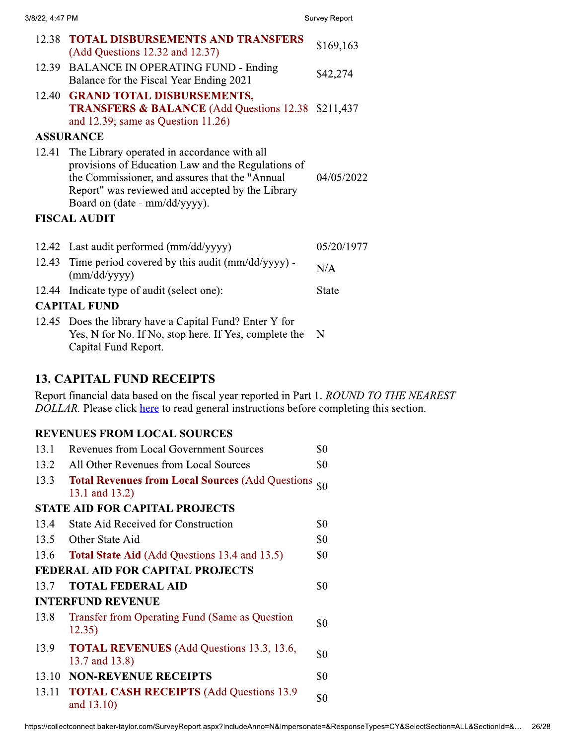| 12.38 | <b>TOTAL DISBURSEMENTS AND TRANSFERS</b><br>(Add Questions 12.32 and 12.37)                                                                                                                                                                                      | \$169,163    |
|-------|------------------------------------------------------------------------------------------------------------------------------------------------------------------------------------------------------------------------------------------------------------------|--------------|
| 12.39 | <b>BALANCE IN OPERATING FUND - Ending</b><br>Balance for the Fiscal Year Ending 2021                                                                                                                                                                             | \$42,274     |
| 12.40 | <b>GRAND TOTAL DISBURSEMENTS,</b><br><b>TRANSFERS &amp; BALANCE</b> (Add Questions 12.38<br>and 12.39; same as Question $11.26$ )                                                                                                                                | \$211,437    |
|       | <b>ASSURANCE</b>                                                                                                                                                                                                                                                 |              |
| 12.41 | The Library operated in accordance with all<br>provisions of Education Law and the Regulations of<br>the Commissioner, and assures that the "Annual"<br>Report" was reviewed and accepted by the Library<br>Board on (date - mm/dd/yyyy).<br><b>FISCAL AUDIT</b> | 04/05/2022   |
|       |                                                                                                                                                                                                                                                                  |              |
|       | 12.42 Last audit performed (mm/dd/yyyy)                                                                                                                                                                                                                          | 05/20/1977   |
| 12.43 | Time period covered by this audit (mm/dd/yyyy) -<br>(mm/dd/yyyy)                                                                                                                                                                                                 | N/A          |
|       | 12.44 Indicate type of audit (select one):                                                                                                                                                                                                                       | <b>State</b> |
|       | <b>CAPITAL FUND</b>                                                                                                                                                                                                                                              |              |
|       | 12.45 Does the library have a Capital Fund? Enter Y for<br>$V_{\alpha}$ N for No If No stop here If $V_{\alpha}$ complete the N                                                                                                                                  |              |

| 12.42 Last audit performed (mm/dd/yyyy)                                                                                                  | 05/20/197 |
|------------------------------------------------------------------------------------------------------------------------------------------|-----------|
| 12.43 Time period covered by this audit $\frac{mm}{dd/yyy}$ -<br>(mm/dd/yyyy)                                                            | N/A       |
| 12.44 Indicate type of audit (select one):                                                                                               | State     |
| <b>CAPITAL FUND</b>                                                                                                                      |           |
| 12.45 Does the library have a Capital Fund? Enter Y for<br>Yes, N for No. If No, stop here. If Yes, complete the<br>Capital Fund Report. | N         |

# **13. CAPITAL FUND RECEIPTS**

Report financial data based on the fiscal year reported in Part 1. ROUND TO THE NEAREST DOLLAR. Please click here to read general instructions before completing this section.

## **REVENUES FROM LOCAL SOURCES**

| 13.1                                    | <b>Revenues from Local Government Sources</b>                             | \$0 |  |
|-----------------------------------------|---------------------------------------------------------------------------|-----|--|
| 13.2                                    | All Other Revenues from Local Sources                                     | \$0 |  |
| 13.3                                    | <b>Total Revenues from Local Sources (Add Questions</b><br>13.1 and 13.2) | \$0 |  |
|                                         | <b>STATE AID FOR CAPITAL PROJECTS</b>                                     |     |  |
| 13.4                                    | <b>State Aid Received for Construction</b>                                | \$0 |  |
| 13.5                                    | Other State Aid                                                           | \$0 |  |
| 13.6                                    | <b>Total State Aid</b> (Add Questions 13.4 and 13.5)                      | \$0 |  |
| <b>FEDERAL AID FOR CAPITAL PROJECTS</b> |                                                                           |     |  |
| 13.7                                    | <b>TOTAL FEDERAL AID</b>                                                  | \$0 |  |
| <b>INTERFUND REVENUE</b>                |                                                                           |     |  |
| 13.8                                    | <b>Transfer from Operating Fund (Same as Question</b><br>12.35)           | \$0 |  |
| 13.9                                    | <b>TOTAL REVENUES</b> (Add Questions 13.3, 13.6,<br>13.7 and 13.8)        | \$0 |  |
| 13.10                                   | <b>NON-REVENUE RECEIPTS</b>                                               | \$0 |  |
| 13.11                                   | <b>TOTAL CASH RECEIPTS (Add Questions 13.9)</b><br>and 13.10)             | \$0 |  |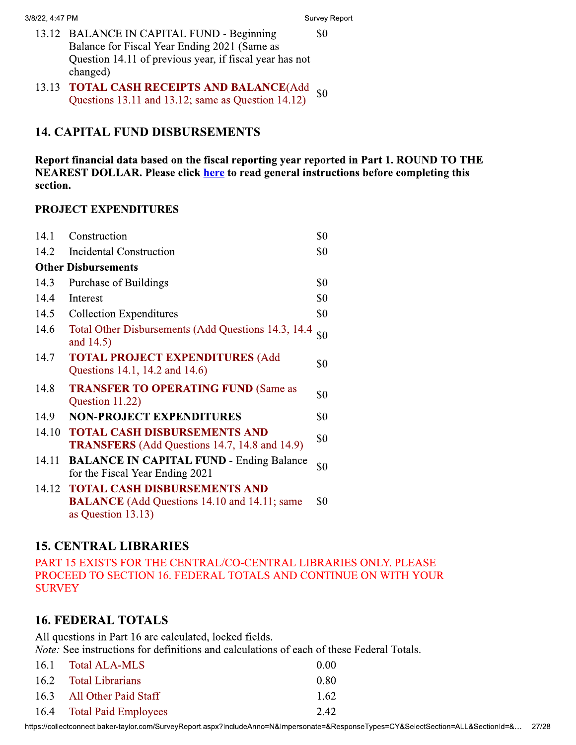- 13.12 BALANCE IN CAPITAL FUND Beginning Balance for Fiscal Year Ending 2021 (Same as Question 14.11 of previous year, if fiscal year has not BALANCE IN CAPITAL FUND - Beginning<br>Balance for Fiscal Year Ending 2021 (Same as<br>Question 14.11 of previous year, if fiscal year has not<br>changed)
- 13.13 **TOTAL CASH RECEIPTS AND BALANCE**(Add<br>
Ouestions 13.11 and 13.12: same as Ouestion 14.12) **TOTAL CASH RECEIPTS AND BALANCE**(Add  $_{50}$ <br>Questions 13.11 and 13.12; same as Question 14.12)

## 14. CAPITAL FUND DISBURSEMENTS

Report financial data based on the fiscal reporting year reported in Part 1. ROUND TO THE NEAREST DOLLAR. Please click here to read general instructions before completing this section.

### PROJECT EXPENDITURES

| 14.1  | Construction                                                                                                        | \$0 |
|-------|---------------------------------------------------------------------------------------------------------------------|-----|
| 14.2  | Incidental Construction                                                                                             | \$0 |
|       | <b>Other Disbursements</b>                                                                                          |     |
| 14.3  | Purchase of Buildings                                                                                               | \$0 |
| 14.4  | Interest                                                                                                            | \$0 |
| 14.5  | <b>Collection Expenditures</b>                                                                                      | \$0 |
| 14.6  | Total Other Disbursements (Add Questions 14.3, 14.4<br>and 14.5)                                                    | \$0 |
| 14.7  | <b>TOTAL PROJECT EXPENDITURES (Add</b><br>Questions 14.1, 14.2 and 14.6)                                            | \$0 |
| 14.8  | <b>TRANSFER TO OPERATING FUND (Same as</b><br>Question 11.22)                                                       | \$0 |
| 14.9  | <b>NON-PROJECT EXPENDITURES</b>                                                                                     | \$0 |
| 14.10 | <b>TOTAL CASH DISBURSEMENTS AND</b><br><b>TRANSFERS</b> (Add Questions 14.7, 14.8 and 14.9)                         | \$0 |
| 14.11 | <b>BALANCE IN CAPITAL FUND - Ending Balance</b><br>for the Fiscal Year Ending 2021                                  | \$0 |
| 14.12 | <b>TOTAL CASH DISBURSEMENTS AND</b><br><b>BALANCE</b> (Add Questions 14.10 and 14.11; same<br>as Question $13.13$ ) | \$0 |

# 15. CENTRAL LIBRARIES

PART 15 EXISTS FOR THE CENTRAL/CO-CENTRAL LIBRARIES ONLY. PLEASE PROCEED TO SECTION 16. FEDERAL TOTALS AND CONTINUE ON WITH YOUR **SURVEY** 

# 16. FEDERAL TOTALS

All questions in Part 16 are calculated, locked fields.

*Note:* See instructions for definitions and calculations of each of these Federal Totals.

| 16.1 | <b>Total ALA-MLS</b>        | 0.00                                                                                                                                          |  |
|------|-----------------------------|-----------------------------------------------------------------------------------------------------------------------------------------------|--|
| 16.2 | <b>Total Librarians</b>     | 0.80                                                                                                                                          |  |
| 16.3 | All Other Paid Staff        | 1.62                                                                                                                                          |  |
| 16.4 | <b>Total Paid Employees</b> | 2.42                                                                                                                                          |  |
|      |                             | https://collectconnect.baker-taylor.com/SurveyReport.aspx?IncludeAnno=N&Impersonate=&ResponseTypes=CY&SelectSection=ALL&SectionId=&…<br>27/28 |  |
|      |                             |                                                                                                                                               |  |
|      |                             |                                                                                                                                               |  |
|      |                             |                                                                                                                                               |  |
|      |                             |                                                                                                                                               |  |
|      |                             |                                                                                                                                               |  |